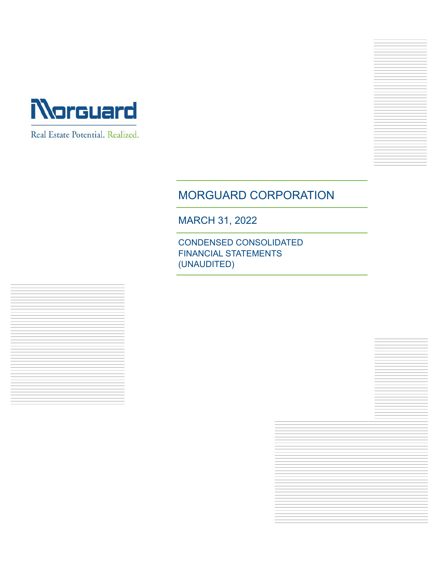

Real Estate Potential. Realized.



MARCH 31, 2022

CONDENSED CONSOLIDATED FINANCIAL STATEMENTS (UNAUDITED)

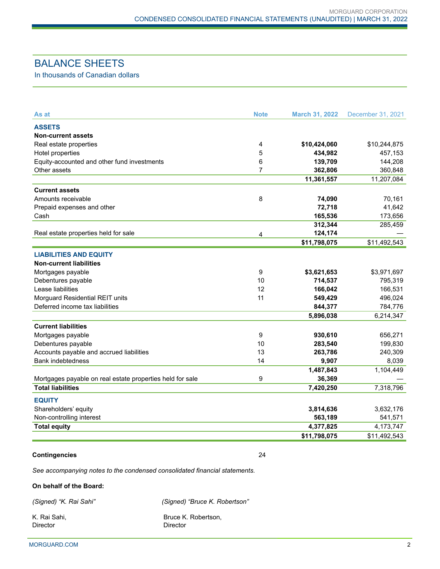# BALANCE SHEETS

In thousands of Canadian dollars

| As at                                                     | <b>Note</b>    | <b>March 31, 2022</b> | December 31, 2021 |
|-----------------------------------------------------------|----------------|-----------------------|-------------------|
| <b>ASSETS</b>                                             |                |                       |                   |
| Non-current assets                                        |                |                       |                   |
| Real estate properties                                    | 4              | \$10,424,060          | \$10,244,875      |
| Hotel properties                                          | 5              | 434,982               | 457,153           |
| Equity-accounted and other fund investments               | 6              | 139,709               | 144,208           |
| Other assets                                              | $\overline{7}$ | 362,806               | 360,848           |
|                                                           |                | 11,361,557            | 11,207,084        |
| <b>Current assets</b>                                     |                |                       |                   |
| Amounts receivable                                        | 8              | 74,090                | 70,161            |
| Prepaid expenses and other                                |                | 72,718                | 41,642            |
| Cash                                                      |                | 165,536               | 173,656           |
|                                                           |                | 312,344               | 285,459           |
| Real estate properties held for sale                      | 4              | 124,174               |                   |
|                                                           |                | \$11,798,075          | \$11,492,543      |
| <b>LIABILITIES AND EQUITY</b>                             |                |                       |                   |
| <b>Non-current liabilities</b>                            |                |                       |                   |
| Mortgages payable                                         | 9              | \$3,621,653           | \$3,971,697       |
| Debentures payable                                        | 10             | 714,537               | 795,319           |
| Lease liabilities                                         | 12             | 166,042               | 166,531           |
| Morguard Residential REIT units                           | 11             | 549,429               | 496,024           |
| Deferred income tax liabilities                           |                | 844,377               | 784,776           |
|                                                           |                | 5,896,038             | 6,214,347         |
| <b>Current liabilities</b>                                |                |                       |                   |
| Mortgages payable                                         | 9              | 930,610               | 656,271           |
| Debentures payable                                        | 10             | 283,540               | 199,830           |
| Accounts payable and accrued liabilities                  | 13             | 263,786               | 240,309           |
| <b>Bank indebtedness</b>                                  | 14             | 9,907                 | 8,039             |
|                                                           |                | 1,487,843             | 1,104,449         |
| Mortgages payable on real estate properties held for sale | 9              | 36,369                |                   |
| <b>Total liabilities</b>                                  |                | 7,420,250             | 7,318,796         |
| <b>EQUITY</b>                                             |                |                       |                   |
| Shareholders' equity                                      |                | 3,814,636             | 3,632,176         |
| Non-controlling interest                                  |                | 563,189               | 541,571           |
| <b>Total equity</b>                                       |                | 4,377,825             | 4,173,747         |
|                                                           |                | \$11,798,075          | \$11,492,543      |

#### **Contingencies** 24

*See accompanying notes to the condensed consolidated financial statements.*

#### **On behalf of the Board:**

*(Signed) "K. Rai Sahi" (Signed) "Bruce K. Robertson"* 

K. Rai Sahi, **Bruce K. Robertson**,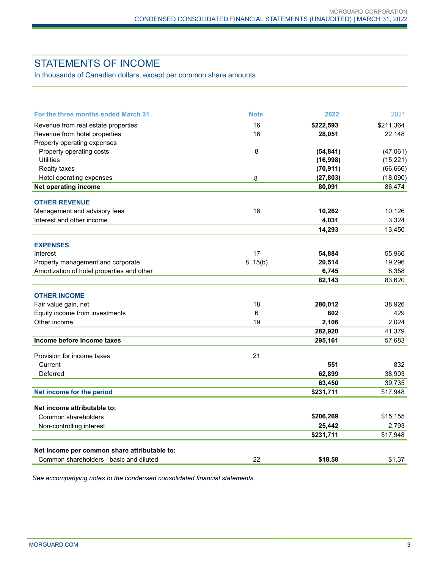# STATEMENTS OF INCOME

In thousands of Canadian dollars, except per common share amounts

| For the three months ended March 31          | <b>Note</b> | 2022      | 2021      |
|----------------------------------------------|-------------|-----------|-----------|
| Revenue from real estate properties          | 16          | \$222,593 | \$211,364 |
| Revenue from hotel properties                | 16          | 28,051    | 22,148    |
| Property operating expenses                  |             |           |           |
| Property operating costs                     | 8           | (54, 841) | (47,061)  |
| <b>Utilities</b>                             |             | (16,998)  | (15, 221) |
| <b>Realty taxes</b>                          |             | (70, 911) | (66, 666) |
| Hotel operating expenses                     | 8           | (27, 803) | (18,090)  |
| Net operating income                         |             | 80,091    | 86,474    |
| <b>OTHER REVENUE</b>                         |             |           |           |
| Management and advisory fees                 | 16          | 10,262    | 10,126    |
| Interest and other income                    |             | 4,031     | 3,324     |
|                                              |             | 14,293    | 13,450    |
| <b>EXPENSES</b>                              |             |           |           |
| Interest                                     | 17          | 54,884    | 55,966    |
| Property management and corporate            | 8, 15(b)    | 20,514    | 19,296    |
| Amortization of hotel properties and other   |             | 6,745     | 8,358     |
|                                              |             | 82,143    | 83,620    |
| <b>OTHER INCOME</b>                          |             |           |           |
| Fair value gain, net                         | 18          | 280,012   | 38,926    |
| Equity income from investments               | 6           | 802       | 429       |
| Other income                                 | 19          | 2,106     | 2,024     |
|                                              |             | 282,920   | 41,379    |
| Income before income taxes                   |             | 295,161   | 57,683    |
| Provision for income taxes                   | 21          |           |           |
| Current                                      |             | 551       | 832       |
| Deferred                                     |             | 62,899    | 38,903    |
|                                              |             | 63,450    | 39,735    |
| Net income for the period                    |             | \$231,711 | \$17,948  |
| Net income attributable to:                  |             |           |           |
| Common shareholders                          |             | \$206,269 | \$15,155  |
| Non-controlling interest                     |             | 25,442    | 2,793     |
|                                              |             | \$231,711 | \$17,948  |
| Net income per common share attributable to: |             |           |           |
| Common shareholders - basic and diluted      | 22          | \$18.58   | \$1.37    |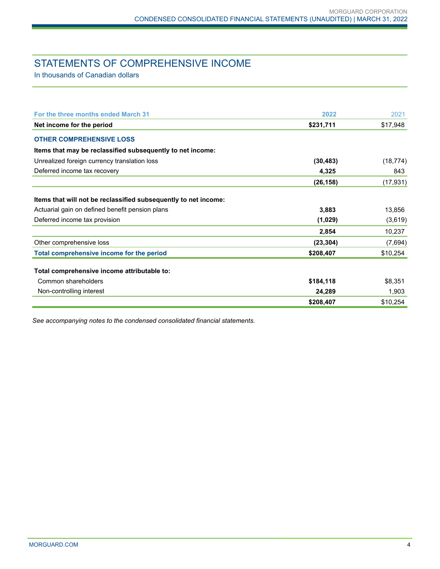# STATEMENTS OF COMPREHENSIVE INCOME

In thousands of Canadian dollars

| For the three months ended March 31                             | 2022      | 2021      |
|-----------------------------------------------------------------|-----------|-----------|
| Net income for the period                                       | \$231,711 | \$17,948  |
| <b>OTHER COMPREHENSIVE LOSS</b>                                 |           |           |
| Items that may be reclassified subsequently to net income:      |           |           |
| Unrealized foreign currency translation loss                    | (30, 483) | (18, 774) |
| Deferred income tax recovery                                    | 4,325     | 843       |
|                                                                 | (26, 158) | (17, 931) |
|                                                                 |           |           |
| Items that will not be reclassified subsequently to net income: |           |           |
| Actuarial gain on defined benefit pension plans                 | 3,883     | 13,856    |
| Deferred income tax provision                                   | (1,029)   | (3,619)   |
|                                                                 | 2,854     | 10,237    |
| Other comprehensive loss                                        | (23, 304) | (7,694)   |
| Total comprehensive income for the period                       | \$208,407 | \$10,254  |
|                                                                 |           |           |
| Total comprehensive income attributable to:                     |           |           |
| Common shareholders                                             | \$184,118 | \$8,351   |
| Non-controlling interest                                        | 24,289    | 1,903     |
|                                                                 | \$208,407 | \$10,254  |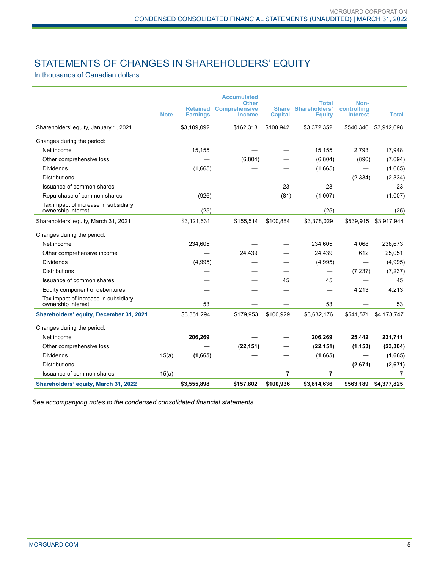# STATEMENTS OF CHANGES IN SHAREHOLDERS' EQUITY

In thousands of Canadian dollars

|                                                            | <b>Note</b> | <b>Retained</b><br><b>Earnings</b> | <b>Accumulated</b><br><b>Other</b><br><b>Comprehensive</b><br><b>Income</b> | <b>Share</b><br><b>Capital</b> | Total<br><b>Shareholders'</b><br><b>Equity</b> | Non-<br>controlling<br><b>Interest</b> | <b>Total</b> |
|------------------------------------------------------------|-------------|------------------------------------|-----------------------------------------------------------------------------|--------------------------------|------------------------------------------------|----------------------------------------|--------------|
| Shareholders' equity, January 1, 2021                      |             | \$3,109,092                        | \$162,318                                                                   | \$100,942                      | \$3,372,352                                    | \$540,346                              | \$3,912,698  |
| Changes during the period:                                 |             |                                    |                                                                             |                                |                                                |                                        |              |
| Net income                                                 |             | 15,155                             |                                                                             |                                | 15,155                                         | 2,793                                  | 17,948       |
| Other comprehensive loss                                   |             |                                    | (6,804)                                                                     |                                | (6,804)                                        | (890)                                  | (7,694)      |
| <b>Dividends</b>                                           |             | (1,665)                            |                                                                             |                                | (1,665)                                        |                                        | (1,665)      |
| <b>Distributions</b>                                       |             |                                    |                                                                             |                                |                                                | (2, 334)                               | (2, 334)     |
| Issuance of common shares                                  |             |                                    |                                                                             | 23                             | 23                                             |                                        | 23           |
| Repurchase of common shares                                |             | (926)                              |                                                                             | (81)                           | (1,007)                                        |                                        | (1,007)      |
| Tax impact of increase in subsidiary<br>ownership interest |             | (25)                               |                                                                             |                                | (25)                                           |                                        | (25)         |
| Shareholders' equity, March 31, 2021                       |             | \$3,121,631                        | \$155,514                                                                   | \$100,884                      | \$3,378,029                                    | \$539,915                              | \$3,917,944  |
| Changes during the period:                                 |             |                                    |                                                                             |                                |                                                |                                        |              |
| Net income                                                 |             | 234,605                            |                                                                             |                                | 234,605                                        | 4,068                                  | 238,673      |
| Other comprehensive income                                 |             |                                    | 24,439                                                                      |                                | 24,439                                         | 612                                    | 25,051       |
| <b>Dividends</b>                                           |             | (4,995)                            |                                                                             |                                | (4,995)                                        |                                        | (4,995)      |
| <b>Distributions</b>                                       |             |                                    |                                                                             |                                |                                                | (7, 237)                               | (7, 237)     |
| Issuance of common shares                                  |             |                                    |                                                                             | 45                             | 45                                             |                                        | 45           |
| Equity component of debentures                             |             |                                    |                                                                             |                                |                                                | 4,213                                  | 4,213        |
| Tax impact of increase in subsidiary<br>ownership interest |             | 53                                 |                                                                             |                                | 53                                             |                                        | 53           |
| Shareholders' equity, December 31, 2021                    |             | \$3,351,294                        | \$179,953                                                                   | \$100,929                      | \$3,632,176                                    | \$541,571                              | \$4,173,747  |
| Changes during the period:                                 |             |                                    |                                                                             |                                |                                                |                                        |              |
| Net income                                                 |             | 206,269                            |                                                                             |                                | 206,269                                        | 25,442                                 | 231,711      |
| Other comprehensive loss                                   |             |                                    | (22, 151)                                                                   |                                | (22, 151)                                      | (1, 153)                               | (23, 304)    |
| <b>Dividends</b>                                           | 15(a)       | (1,665)                            |                                                                             |                                | (1,665)                                        |                                        | (1,665)      |
| <b>Distributions</b>                                       |             |                                    |                                                                             |                                |                                                | (2,671)                                | (2,671)      |
| Issuance of common shares                                  | 15(a)       |                                    |                                                                             | 7                              | 7                                              |                                        | 7            |
| Shareholders' equity, March 31, 2022                       |             | \$3,555,898                        | \$157,802                                                                   | \$100,936                      | \$3,814,636                                    | \$563,189                              | \$4,377,825  |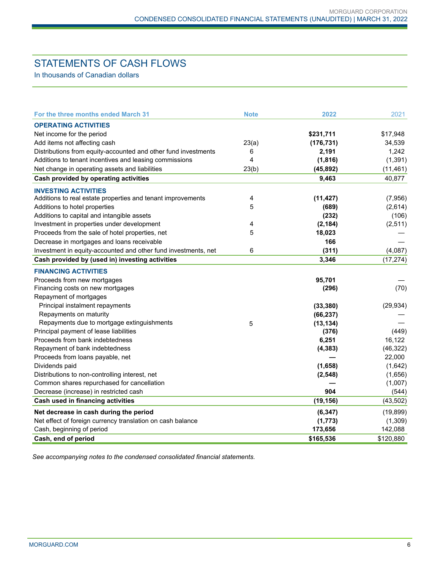# STATEMENTS OF CASH FLOWS

In thousands of Canadian dollars

| For the three months ended March 31                            | <b>Note</b> | 2022       | 2021      |
|----------------------------------------------------------------|-------------|------------|-----------|
| <b>OPERATING ACTIVITIES</b>                                    |             |            |           |
| Net income for the period                                      |             | \$231,711  | \$17,948  |
| Add items not affecting cash                                   | 23(a)       | (176, 731) | 34,539    |
| Distributions from equity-accounted and other fund investments | 6           | 2,191      | 1,242     |
| Additions to tenant incentives and leasing commissions         | 4           | (1, 816)   | (1, 391)  |
| Net change in operating assets and liabilities                 | 23(b)       | (45, 892)  | (11, 461) |
| Cash provided by operating activities                          |             | 9,463      | 40,877    |
| <b>INVESTING ACTIVITIES</b>                                    |             |            |           |
| Additions to real estate properties and tenant improvements    | 4           | (11, 427)  | (7,956)   |
| Additions to hotel properties                                  | 5           | (689)      | (2,614)   |
| Additions to capital and intangible assets                     |             | (232)      | (106)     |
| Investment in properties under development                     | 4           | (2, 184)   | (2, 511)  |
| Proceeds from the sale of hotel properties, net                | 5           | 18,023     |           |
| Decrease in mortgages and loans receivable                     |             | 166        |           |
| Investment in equity-accounted and other fund investments, net | 6           | (311)      | (4,087)   |
| Cash provided by (used in) investing activities                |             | 3,346      | (17, 274) |
| <b>FINANCING ACTIVITIES</b>                                    |             |            |           |
| Proceeds from new mortgages                                    |             | 95,701     |           |
| Financing costs on new mortgages                               |             | (296)      | (70)      |
| Repayment of mortgages                                         |             |            |           |
| Principal instalment repayments                                |             | (33, 380)  | (29, 934) |
| Repayments on maturity                                         |             | (66, 237)  |           |
| Repayments due to mortgage extinguishments                     | 5           | (13, 134)  |           |
| Principal payment of lease liabilities                         |             | (376)      | (449)     |
| Proceeds from bank indebtedness                                |             | 6,251      | 16,122    |
| Repayment of bank indebtedness                                 |             | (4, 383)   | (46, 322) |
| Proceeds from loans payable, net                               |             |            | 22,000    |
| Dividends paid                                                 |             | (1,658)    | (1,642)   |
| Distributions to non-controlling interest, net                 |             | (2, 548)   | (1,656)   |
| Common shares repurchased for cancellation                     |             |            | (1,007)   |
| Decrease (increase) in restricted cash                         |             | 904        | (544)     |
| Cash used in financing activities                              |             | (19, 156)  | (43, 502) |
| Net decrease in cash during the period                         |             | (6, 347)   | (19, 899) |
| Net effect of foreign currency translation on cash balance     |             | (1, 773)   | (1,309)   |
| Cash, beginning of period                                      |             | 173,656    | 142,088   |
| Cash, end of period                                            |             | \$165,536  | \$120,880 |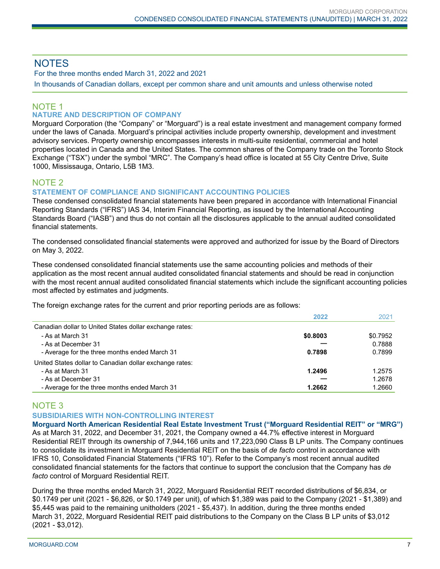# **NOTES**

For the three months ended March 31, 2022 and 2021

In thousands of Canadian dollars, except per common share and unit amounts and unless otherwise noted

# NOTE 1

#### **NATURE AND DESCRIPTION OF COMPANY**

Morguard Corporation (the "Company" or "Morguard") is a real estate investment and management company formed under the laws of Canada. Morguard's principal activities include property ownership, development and investment advisory services. Property ownership encompasses interests in multi-suite residential, commercial and hotel properties located in Canada and the United States. The common shares of the Company trade on the Toronto Stock Exchange ("TSX") under the symbol "MRC". The Company's head office is located at 55 City Centre Drive, Suite 1000, Mississauga, Ontario, L5B 1M3.

# NOTE 2

#### **STATEMENT OF COMPLIANCE AND SIGNIFICANT ACCOUNTING POLICIES**

These condensed consolidated financial statements have been prepared in accordance with International Financial Reporting Standards ("IFRS") IAS 34, Interim Financial Reporting, as issued by the International Accounting Standards Board ("IASB") and thus do not contain all the disclosures applicable to the annual audited consolidated financial statements.

The condensed consolidated financial statements were approved and authorized for issue by the Board of Directors on May 3, 2022.

These condensed consolidated financial statements use the same accounting policies and methods of their application as the most recent annual audited consolidated financial statements and should be read in conjunction with the most recent annual audited consolidated financial statements which include the significant accounting policies most affected by estimates and judgments.

The foreign exchange rates for the current and prior reporting periods are as follows:

|                                                         | 2022     | 2021     |
|---------------------------------------------------------|----------|----------|
| Canadian dollar to United States dollar exchange rates: |          |          |
| - As at March 31                                        | \$0.8003 | \$0.7952 |
| - As at December 31                                     |          | 0.7888   |
| - Average for the three months ended March 31           | 0.7898   | 0.7899   |
| United States dollar to Canadian dollar exchange rates: |          |          |
| - As at March 31                                        | 1.2496   | 1.2575   |
| - As at December 31                                     |          | 1.2678   |
| - Average for the three months ended March 31           | 1.2662   | 1.2660   |

# NOTE 3

#### **SUBSIDIARIES WITH NON-CONTROLLING INTEREST**

**Morguard North American Residential Real Estate Investment Trust ("Morguard Residential REIT" or "MRG")** As at March 31, 2022, and December 31, 2021, the Company owned a 44.7% effective interest in Morguard Residential REIT through its ownership of 7,944,166 units and 17,223,090 Class B LP units. The Company continues to consolidate its investment in Morguard Residential REIT on the basis of *de facto* control in accordance with IFRS 10, Consolidated Financial Statements ("IFRS 10"). Refer to the Company's most recent annual audited consolidated financial statements for the factors that continue to support the conclusion that the Company has *de facto* control of Morguard Residential REIT.

During the three months ended March 31, 2022, Morguard Residential REIT recorded distributions of \$6,834, or \$0.1749 per unit (2021 - \$6,826, or \$0.1749 per unit), of which \$1,389 was paid to the Company (2021 - \$1,389) and \$5,445 was paid to the remaining unitholders (2021 - \$5,437). In addition, during the three months ended March 31, 2022, Morguard Residential REIT paid distributions to the Company on the Class B LP units of \$3,012 (2021 - \$3,012).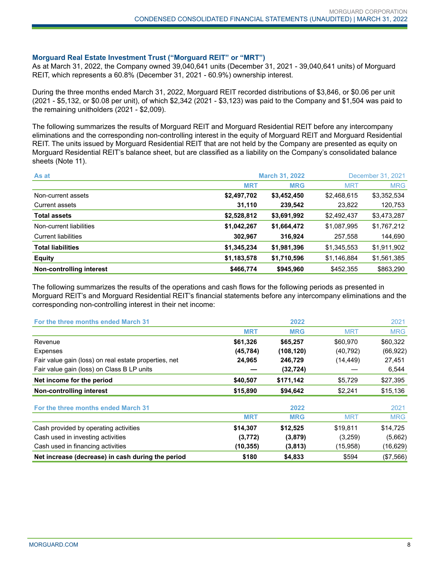#### **Morguard Real Estate Investment Trust ("Morguard REIT" or "MRT")**

As at March 31, 2022, the Company owned 39,040,641 units (December 31, 2021 - 39,040,641 units) of Morguard REIT, which represents a 60.8% (December 31, 2021 - 60.9%) ownership interest.

During the three months ended March 31, 2022, Morguard REIT recorded distributions of \$3,846, or \$0.06 per unit (2021 - \$5,132, or \$0.08 per unit), of which \$2,342 (2021 - \$3,123) was paid to the Company and \$1,504 was paid to the remaining unitholders (2021 - \$2,009).

The following summarizes the results of Morguard REIT and Morguard Residential REIT before any intercompany eliminations and the corresponding non-controlling interest in the equity of Morguard REIT and Morguard Residential REIT. The units issued by Morguard Residential REIT that are not held by the Company are presented as equity on Morguard Residential REIT's balance sheet, but are classified as a liability on the Company's consolidated balance sheets (Note 11).

| As at                      |             | <b>March 31, 2022</b> | December 31, 2021 |             |  |
|----------------------------|-------------|-----------------------|-------------------|-------------|--|
|                            | <b>MRT</b>  | <b>MRG</b>            | <b>MRT</b>        | <b>MRG</b>  |  |
| Non-current assets         | \$2,497,702 | \$3,452,450           | \$2,468,615       | \$3,352,534 |  |
| <b>Current assets</b>      | 31,110      | 239,542               | 23,822            | 120,753     |  |
| <b>Total assets</b>        | \$2,528,812 | \$3,691,992           | \$2,492,437       | \$3,473,287 |  |
| Non-current liabilities    | \$1,042,267 | \$1,664,472           | \$1,087,995       | \$1,767,212 |  |
| <b>Current liabilities</b> | 302,967     | 316,924               | 257,558           | 144,690     |  |
| <b>Total liabilities</b>   | \$1,345,234 | \$1,981,396           | \$1,345,553       | \$1,911,902 |  |
| <b>Equity</b>              | \$1,183,578 | \$1,710,596           | \$1,146,884       | \$1,561,385 |  |
| Non-controlling interest   | \$466,774   | \$945,960             | \$452,355         | \$863,290   |  |

The following summarizes the results of the operations and cash flows for the following periods as presented in Morguard REIT's and Morguard Residential REIT's financial statements before any intercompany eliminations and the corresponding non-controlling interest in their net income:

| For the three months ended March 31                   |            | 2022       |            | 2021       |
|-------------------------------------------------------|------------|------------|------------|------------|
|                                                       | <b>MRT</b> | <b>MRG</b> | <b>MRT</b> | <b>MRG</b> |
| Revenue                                               | \$61,326   | \$65,257   | \$60,970   | \$60,322   |
| <b>Expenses</b>                                       | (45, 784)  | (108, 120) | (40, 792)  | (66, 922)  |
| Fair value gain (loss) on real estate properties, net | 24,965     | 246,729    | (14, 449)  | 27,451     |
| Fair value gain (loss) on Class B LP units            |            | (32, 724)  |            | 6,544      |
| Net income for the period                             | \$40,507   | \$171,142  | \$5,729    | \$27,395   |
| Non-controlling interest                              | \$15,890   | \$94,642   | \$2,241    | \$15,136   |
| For the three months ended March 31                   |            | 2022       |            | 2021       |
|                                                       | <b>MRT</b> | <b>MRG</b> | <b>MRT</b> | <b>MRG</b> |
| Cash provided by operating activities                 | \$14,307   | \$12,525   | \$19,811   | \$14,725   |
| Cash used in investing activities                     | (3,772)    | (3, 879)   | (3,259)    | (5,662)    |
| Cash used in financing activities                     | (10, 355)  | (3,813)    | (15,958)   | (16, 629)  |
| Net increase (decrease) in cash during the period     | \$180      | \$4,833    | \$594      | (\$7,566)  |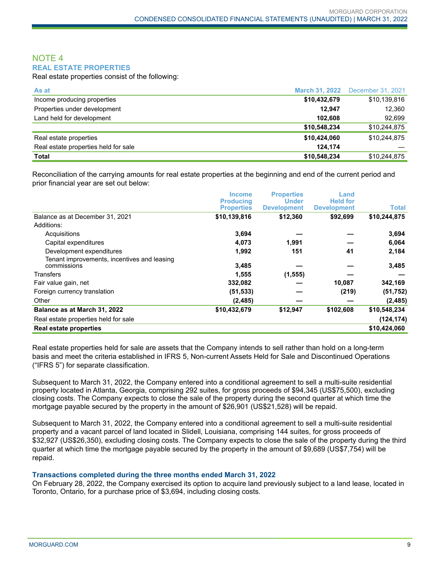#### NOTE 4 **REAL ESTATE PROPERTIES**

Real estate properties consist of the following:

| As at                                | <b>March 31, 2022</b> | December 31, 2021 |
|--------------------------------------|-----------------------|-------------------|
| Income producing properties          | \$10,432,679          | \$10,139,816      |
| Properties under development         | 12.947                | 12.360            |
| Land held for development            | 102.608               | 92,699            |
|                                      | \$10,548,234          | \$10,244,875      |
| Real estate properties               | \$10,424,060          | \$10,244,875      |
| Real estate properties held for sale | 124.174               |                   |
| Total                                | \$10,548,234          | \$10,244,875      |

Reconciliation of the carrying amounts for real estate properties at the beginning and end of the current period and prior financial year are set out below:

|                                                            | <b>Income</b><br><b>Producing</b><br><b>Properties</b> | <b>Properties</b><br><b>Under</b><br><b>Development</b> | Land<br><b>Held for</b><br><b>Development</b> | Total        |
|------------------------------------------------------------|--------------------------------------------------------|---------------------------------------------------------|-----------------------------------------------|--------------|
| Balance as at December 31, 2021                            | \$10,139,816                                           | \$12,360                                                | \$92,699                                      | \$10,244,875 |
| Additions:                                                 |                                                        |                                                         |                                               |              |
| Acquisitions                                               | 3,694                                                  |                                                         |                                               | 3,694        |
| Capital expenditures                                       | 4,073                                                  | 1,991                                                   |                                               | 6,064        |
| Development expenditures                                   | 1,992                                                  | 151                                                     | 41                                            | 2,184        |
| Tenant improvements, incentives and leasing<br>commissions | 3,485                                                  |                                                         |                                               | 3,485        |
| Transfers                                                  | 1,555                                                  | (1, 555)                                                |                                               |              |
| Fair value gain, net                                       | 332,082                                                |                                                         | 10,087                                        | 342,169      |
| Foreign currency translation                               | (51, 533)                                              |                                                         | (219)                                         | (51, 752)    |
| Other                                                      | (2, 485)                                               |                                                         |                                               | (2, 485)     |
| Balance as at March 31, 2022                               | \$10,432,679                                           | \$12,947                                                | \$102,608                                     | \$10,548,234 |
| Real estate properties held for sale                       |                                                        |                                                         |                                               | (124, 174)   |
| <b>Real estate properties</b>                              |                                                        |                                                         |                                               | \$10,424,060 |

Real estate properties held for sale are assets that the Company intends to sell rather than hold on a long-term basis and meet the criteria established in IFRS 5, Non-current Assets Held for Sale and Discontinued Operations ("IFRS 5") for separate classification.

Subsequent to March 31, 2022, the Company entered into a conditional agreement to sell a multi-suite residential property located in Atlanta, Georgia, comprising 292 suites, for gross proceeds of \$94,345 (US\$75,500), excluding closing costs. The Company expects to close the sale of the property during the second quarter at which time the mortgage payable secured by the property in the amount of \$26,901 (US\$21,528) will be repaid.

Subsequent to March 31, 2022, the Company entered into a conditional agreement to sell a multi-suite residential property and a vacant parcel of land located in Slidell, Louisiana, comprising 144 suites, for gross proceeds of \$32,927 (US\$26,350), excluding closing costs. The Company expects to close the sale of the property during the third quarter at which time the mortgage payable secured by the property in the amount of \$9,689 (US\$7,754) will be repaid.

#### **Transactions completed during the three months ended March 31, 2022**

On February 28, 2022, the Company exercised its option to acquire land previously subject to a land lease, located in Toronto, Ontario, for a purchase price of \$3,694, including closing costs.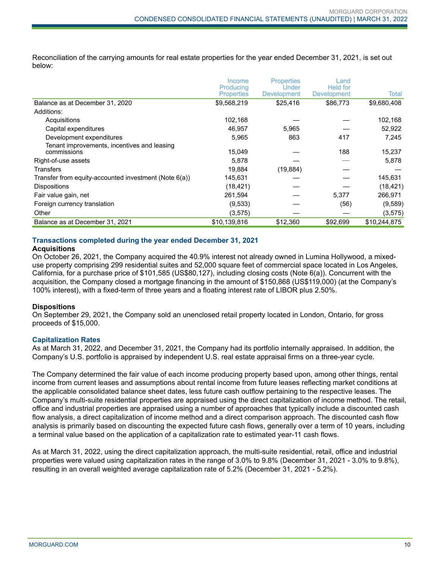Reconciliation of the carrying amounts for real estate properties for the year ended December 31, 2021, is set out below:

|                                                            | Income<br>Producing<br><b>Properties</b> | <b>Properties</b><br>Under<br><b>Development</b> | Land<br><b>Held for</b><br>Development | Total        |
|------------------------------------------------------------|------------------------------------------|--------------------------------------------------|----------------------------------------|--------------|
| Balance as at December 31, 2020                            | \$9,568,219                              | \$25,416                                         | \$86,773                               | \$9,680,408  |
| Additions:                                                 |                                          |                                                  |                                        |              |
| Acquisitions                                               | 102,168                                  |                                                  |                                        | 102,168      |
| Capital expenditures                                       | 46,957                                   | 5,965                                            |                                        | 52,922       |
| Development expenditures                                   | 5,965                                    | 863                                              | 417                                    | 7,245        |
| Tenant improvements, incentives and leasing<br>commissions | 15,049                                   |                                                  | 188                                    | 15,237       |
| Right-of-use assets                                        | 5,878                                    |                                                  |                                        | 5,878        |
| <b>Transfers</b>                                           | 19,884                                   | (19, 884)                                        |                                        |              |
| Transfer from equity-accounted investment (Note 6(a))      | 145,631                                  |                                                  |                                        | 145,631      |
| <b>Dispositions</b>                                        | (18, 421)                                |                                                  |                                        | (18, 421)    |
| Fair value gain, net                                       | 261,594                                  |                                                  | 5.377                                  | 266,971      |
| Foreign currency translation                               | (9,533)                                  |                                                  | (56)                                   | (9,589)      |
| Other                                                      | (3, 575)                                 |                                                  |                                        | (3, 575)     |
| Balance as at December 31, 2021                            | \$10,139,816                             | \$12,360                                         | \$92,699                               | \$10,244,875 |

#### **Transactions completed during the year ended December 31, 2021**

#### **Acquisitions**

On October 26, 2021, the Company acquired the 40.9% interest not already owned in Lumina Hollywood, a mixeduse property comprising 299 residential suites and 52,000 square feet of commercial space located in Los Angeles, California, for a purchase price of \$101,585 (US\$80,127), including closing costs (Note 6(a)). Concurrent with the acquisition, the Company closed a mortgage financing in the amount of \$150,868 (US\$119,000) (at the Company's 100% interest), with a fixed-term of three years and a floating interest rate of LIBOR plus 2.50%.

#### **Dispositions**

On September 29, 2021, the Company sold an unenclosed retail property located in London, Ontario, for gross proceeds of \$15,000.

#### **Capitalization Rates**

As at March 31, 2022, and December 31, 2021, the Company had its portfolio internally appraised. In addition, the Company's U.S. portfolio is appraised by independent U.S. real estate appraisal firms on a three-year cycle.

The Company determined the fair value of each income producing property based upon, among other things, rental income from current leases and assumptions about rental income from future leases reflecting market conditions at the applicable consolidated balance sheet dates, less future cash outflow pertaining to the respective leases. The Company's multi-suite residential properties are appraised using the direct capitalization of income method. The retail, office and industrial properties are appraised using a number of approaches that typically include a discounted cash flow analysis, a direct capitalization of income method and a direct comparison approach. The discounted cash flow analysis is primarily based on discounting the expected future cash flows, generally over a term of 10 years, including a terminal value based on the application of a capitalization rate to estimated year-11 cash flows.

As at March 31, 2022, using the direct capitalization approach, the multi-suite residential, retail, office and industrial properties were valued using capitalization rates in the range of 3.0% to 9.8% (December 31, 2021 - 3.0% to 9.8%), resulting in an overall weighted average capitalization rate of 5.2% (December 31, 2021 - 5.2%).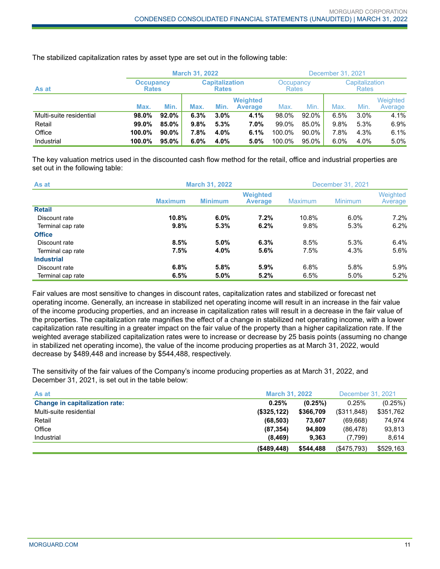|                         |                                  |          | <b>March 31, 2022</b> |                                                                    |                                   |                                |       | December 31, 2021 |      |                     |
|-------------------------|----------------------------------|----------|-----------------------|--------------------------------------------------------------------|-----------------------------------|--------------------------------|-------|-------------------|------|---------------------|
| As at                   | <b>Occupancy</b><br><b>Rates</b> |          |                       | <b>Capitalization</b><br>Occupancy<br><b>Rates</b><br><b>Rates</b> |                                   | Capitalization<br><b>Rates</b> |       |                   |      |                     |
|                         | Max.                             | Min.     | Max.                  | Min.                                                               | <b>Weighted</b><br><b>Average</b> | Max.                           | Min.  | Max.              | Min. | Weighted<br>Average |
| Multi-suite residential | 98.0%                            | 92.0%    | 6.3%                  | 3.0%                                                               | 4.1%                              | 98.0%                          | 92.0% | 6.5%              | 3.0% | 4.1%                |
| Retail                  | 99.0%                            | 85.0%    | 9.8%                  | 5.3%                                                               | 7.0%                              | 99.0%                          | 85.0% | 9.8%              | 5.3% | 6.9%                |
| Office                  | 100.0%                           | $90.0\%$ | 7.8%                  | 4.0%                                                               | 6.1%                              | 100.0%                         | 90.0% | 7.8%              | 4.3% | 6.1%                |
| Industrial              | 100.0%                           | 95.0%    | 6.0%                  | 4.0%                                                               | 5.0%                              | 100.0%                         | 95.0% | 6.0%              | 4.0% | 5.0%                |

The stabilized capitalization rates by asset type are set out in the following table:

The key valuation metrics used in the discounted cash flow method for the retail, office and industrial properties are set out in the following table:

| As at             |                | <b>March 31, 2022</b> |                                   |                | December 31, 2021 |                     |  |
|-------------------|----------------|-----------------------|-----------------------------------|----------------|-------------------|---------------------|--|
|                   | <b>Maximum</b> | <b>Minimum</b>        | <b>Weighted</b><br><b>Average</b> | <b>Maximum</b> | Minimum           | Weighted<br>Average |  |
| <b>Retail</b>     |                |                       |                                   |                |                   |                     |  |
| Discount rate     | 10.8%          | 6.0%                  | 7.2%                              | 10.8%          | 6.0%              | $7.2\%$             |  |
| Terminal cap rate | 9.8%           | 5.3%                  | 6.2%                              | 9.8%           | 5.3%              | 6.2%                |  |
| <b>Office</b>     |                |                       |                                   |                |                   |                     |  |
| Discount rate     | 8.5%           | 5.0%                  | 6.3%                              | 8.5%           | 5.3%              | 6.4%                |  |
| Terminal cap rate | 7.5%           | 4.0%                  | 5.6%                              | 7.5%           | 4.3%              | $5.6\%$             |  |
| <b>Industrial</b> |                |                       |                                   |                |                   |                     |  |
| Discount rate     | 6.8%           | 5.8%                  | 5.9%                              | 6.8%           | 5.8%              | $5.9\%$             |  |
| Terminal cap rate | 6.5%           | 5.0%                  | 5.2%                              | 6.5%           | 5.0%              | 5.2%                |  |

Fair values are most sensitive to changes in discount rates, capitalization rates and stabilized or forecast net operating income. Generally, an increase in stabilized net operating income will result in an increase in the fair value of the income producing properties, and an increase in capitalization rates will result in a decrease in the fair value of the properties. The capitalization rate magnifies the effect of a change in stabilized net operating income, with a lower capitalization rate resulting in a greater impact on the fair value of the property than a higher capitalization rate. If the weighted average stabilized capitalization rates were to increase or decrease by 25 basis points (assuming no change in stabilized net operating income), the value of the income producing properties as at March 31, 2022, would decrease by \$489,448 and increase by \$544,488, respectively.

The sensitivity of the fair values of the Company's income producing properties as at March 31, 2022, and December 31, 2021, is set out in the table below:

| As at                                 | <b>March 31, 2022</b> |           | December 31, 2021 |           |
|---------------------------------------|-----------------------|-----------|-------------------|-----------|
| <b>Change in capitalization rate:</b> | 0.25%                 | (0.25%)   | 0.25%             | (0.25%)   |
| Multi-suite residential               | (\$325, 122)          | \$366,709 | (\$311,848)       | \$351,762 |
| Retail                                | (68, 503)             | 73.607    | (69,668)          | 74.974    |
| Office                                | (87, 354)             | 94.809    | (86, 478)         | 93,813    |
| Industrial                            | (8, 469)              | 9.363     | (7,799)           | 8.614     |
|                                       | $($ \$489,448)        | \$544,488 | (S475,793)        | \$529,163 |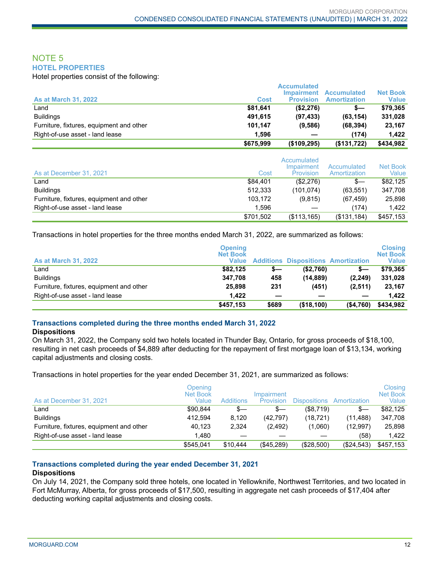#### NOTE 5 **HOTEL PROPERTIES**

Hotel properties consist of the following:

|                                          |           | <b>Accumulated</b>                    |                                           |                                 |
|------------------------------------------|-----------|---------------------------------------|-------------------------------------------|---------------------------------|
| <b>As at March 31, 2022</b>              | Cost      | <b>Impairment</b><br><b>Provision</b> | <b>Accumulated</b><br><b>Amortization</b> | <b>Net Book</b><br><b>Value</b> |
| Land                                     | \$81.641  | (\$2,276)                             | s—                                        | \$79.365                        |
| <b>Buildings</b>                         | 491.615   | (97, 433)                             | (63, 154)                                 | 331,028                         |
| Furniture, fixtures, equipment and other | 101.147   | (9,586)                               | (68, 394)                                 | 23,167                          |
| Right-of-use asset - land lease          | 1.596     |                                       | (174)                                     | 1.422                           |
|                                          | \$675,999 | $($ \$109,295)                        | (\$131,722)                               | \$434,982                       |

| As at December 31, 2021                  | Cost      | Accumulated<br>Impairment<br>Provision | Accumulated<br>Amortization | <b>Net Book</b><br>Value |
|------------------------------------------|-----------|----------------------------------------|-----------------------------|--------------------------|
| Land                                     | \$84,401  | (\$2,276)                              | $s-$                        | \$82,125                 |
| <b>Buildings</b>                         | 512,333   | (101, 074)                             | (63, 551)                   | 347,708                  |
| Furniture, fixtures, equipment and other | 103,172   | (9,815)                                | (67, 459)                   | 25,898                   |
| Right-of-use asset - land lease          | 1.596     |                                        | (174)                       | 1.422                    |
|                                          | \$701,502 | (\$113, 165)                           | (\$131,184)                 | \$457,153                |

Transactions in hotel properties for the three months ended March 31, 2022, are summarized as follows:

| <b>As at March 31, 2022</b>              | <b>Opening</b><br><b>Net Book</b><br><b>Value</b> |       | <b>Additions Dispositions Amortization</b> |            | <b>Closing</b><br><b>Net Book</b><br><b>Value</b> |
|------------------------------------------|---------------------------------------------------|-------|--------------------------------------------|------------|---------------------------------------------------|
| Land                                     | \$82.125                                          | s—    | ( \$2,760)                                 | s—         | \$79.365                                          |
| <b>Buildings</b>                         | 347.708                                           | 458   | (14, 889)                                  | (2, 249)   | 331,028                                           |
| Furniture, fixtures, equipment and other | 25.898                                            | 231   | (451)                                      | (2,511)    | 23,167                                            |
| Right-of-use asset - land lease          | 1.422                                             |       |                                            |            | 1.422                                             |
|                                          | \$457,153                                         | \$689 | (\$18,100)                                 | ( \$4,760) | \$434,982                                         |

#### **Transactions completed during the three months ended March 31, 2022**

#### **Dispositions**

On March 31, 2022, the Company sold two hotels located in Thunder Bay, Ontario, for gross proceeds of \$18,100, resulting in net cash proceeds of \$4,889 after deducting for the repayment of first mortgage loan of \$13,134, working capital adjustments and closing costs.

Transactions in hotel properties for the year ended December 31, 2021, are summarized as follows:

| As at December 31, 2021                  | Opening<br>Net Book<br>Value | <b>Additions</b> | Impairment<br>Provision | <b>Dispositions</b> | Amortization | Closing<br><b>Net Book</b><br>Value |
|------------------------------------------|------------------------------|------------------|-------------------------|---------------------|--------------|-------------------------------------|
| ∟and                                     | \$90.844                     | s—               | s—                      | (\$8,719)           | s—           | \$82,125                            |
| <b>Buildings</b>                         | 412.594                      | 8.120            | (42.797)                | (18.721)            | (11, 488)    | 347,708                             |
| Furniture, fixtures, equipment and other | 40.123                       | 2.324            | (2.492)                 | (1,060)             | (12.997)     | 25,898                              |
| Right-of-use asset - land lease          | 1.480                        |                  |                         |                     | (58)         | 1.422                               |
|                                          | \$545.041                    | \$10,444         | (\$45,289)              | (\$28,500)          | (\$24,543)   | \$457,153                           |

#### **Transactions completed during the year ended December 31, 2021**

#### **Dispositions**

On July 14, 2021, the Company sold three hotels, one located in Yellowknife, Northwest Territories, and two located in Fort McMurray, Alberta, for gross proceeds of \$17,500, resulting in aggregate net cash proceeds of \$17,404 after deducting working capital adjustments and closing costs.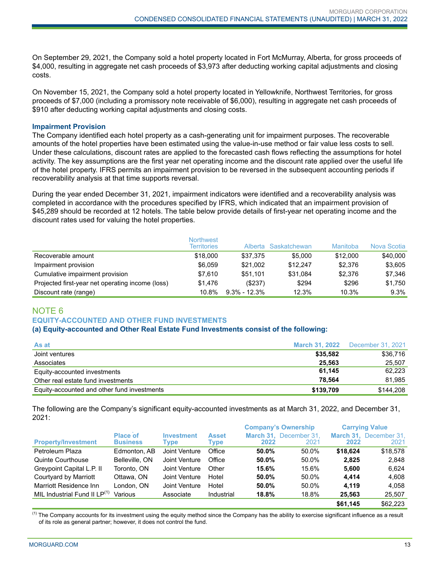On September 29, 2021, the Company sold a hotel property located in Fort McMurray, Alberta, for gross proceeds of \$4,000, resulting in aggregate net cash proceeds of \$3,973 after deducting working capital adjustments and closing costs.

On November 15, 2021, the Company sold a hotel property located in Yellowknife, Northwest Territories, for gross proceeds of \$7,000 (including a promissory note receivable of \$6,000), resulting in aggregate net cash proceeds of \$910 after deducting working capital adjustments and closing costs.

#### **Impairment Provision**

The Company identified each hotel property as a cash-generating unit for impairment purposes. The recoverable amounts of the hotel properties have been estimated using the value-in-use method or fair value less costs to sell. Under these calculations, discount rates are applied to the forecasted cash flows reflecting the assumptions for hotel activity. The key assumptions are the first year net operating income and the discount rate applied over the useful life of the hotel property. IFRS permits an impairment provision to be reversed in the subsequent accounting periods if recoverability analysis at that time supports reversal.

During the year ended December 31, 2021, impairment indicators were identified and a recoverability analysis was completed in accordance with the procedures specified by IFRS, which indicated that an impairment provision of \$45,289 should be recorded at 12 hotels. The table below provide details of first-year net operating income and the discount rates used for valuing the hotel properties.

|                                                  | <b>Northwest</b><br><b>Territories</b> |                  | Alberta Saskatchewan | Manitoba | Nova Scotia |
|--------------------------------------------------|----------------------------------------|------------------|----------------------|----------|-------------|
| Recoverable amount                               | \$18,000                               | \$37.375         | \$5,000              | \$12,000 | \$40,000    |
| Impairment provision                             | \$6.059                                | \$21.002         | \$12,247             | \$2,376  | \$3,605     |
| Cumulative impairment provision                  | \$7.610                                | \$51.101         | \$31.084             | \$2,376  | \$7.346     |
| Projected first-year net operating income (loss) | \$1,476                                | (S237)           | \$294                | \$296    | \$1,750     |
| Discount rate (range)                            | $10.8\%$                               | $9.3\% - 12.3\%$ | 12.3%                | 10.3%    | 9.3%        |

# NOTE 6

#### **EQUITY-ACCOUNTED AND OTHER FUND INVESTMENTS**

#### **(a) Equity-accounted and Other Real Estate Fund Investments consist of the following:**

| As at                                       | <b>March 31, 2022</b> | December 31, 2021 |
|---------------------------------------------|-----------------------|-------------------|
| Joint ventures                              | \$35,582              | \$36,716          |
| Associates                                  | 25.563                | 25.507            |
| Equity-accounted investments                | 61.145                | 62.223            |
| Other real estate fund investments          | 78.564                | 81.985            |
| Equity-accounted and other fund investments | \$139.709             | \$144.208         |

The following are the Company's significant equity-accounted investments as at March 31, 2022, and December 31, 2021:

|                                          |                                    |                           |                      | <b>Company's Ownership</b> |                                |          | <b>Carrying Value</b>          |
|------------------------------------------|------------------------------------|---------------------------|----------------------|----------------------------|--------------------------------|----------|--------------------------------|
| <b>Property/Investment</b>               | <b>Place of</b><br><b>Business</b> | <b>Investment</b><br>Type | <b>Asset</b><br>Type | 2022                       | March 31. December 31.<br>2021 | 2022     | March 31, December 31,<br>2021 |
|                                          |                                    |                           |                      |                            |                                |          |                                |
| Petroleum Plaza                          | Edmonton, AB                       | Joint Venture             | Office               | 50.0%                      | 50.0%                          | \$18.624 | \$18,578                       |
| Quinte Courthouse                        | Belleville, ON                     | Joint Venture             | Office               | 50.0%                      | 50.0%                          | 2.825    | 2,848                          |
| Greypoint Capital L.P. II                | Toronto, ON                        | Joint Venture             | Other                | 15.6%                      | 15.6%                          | 5.600    | 6.624                          |
| Courtyard by Marriott                    | Ottawa, ON                         | Joint Venture             | Hotel                | 50.0%                      | 50.0%                          | 4.414    | 4.608                          |
| Marriott Residence Inn                   | London. ON                         | Joint Venture             | Hotel                | $50.0\%$                   | 50.0%                          | 4.119    | 4.058                          |
| MIL Industrial Fund II LP <sup>(1)</sup> | Various                            | Associate                 | Industrial           | 18.8%                      | 18.8%                          | 25.563   | 25,507                         |
|                                          |                                    |                           |                      |                            |                                | \$61.145 | \$62,223                       |

 $<sup>(1)</sup>$  The Company accounts for its investment using the equity method since the Company has the ability to exercise significant influence as a result</sup> of its role as general partner; however, it does not control the fund.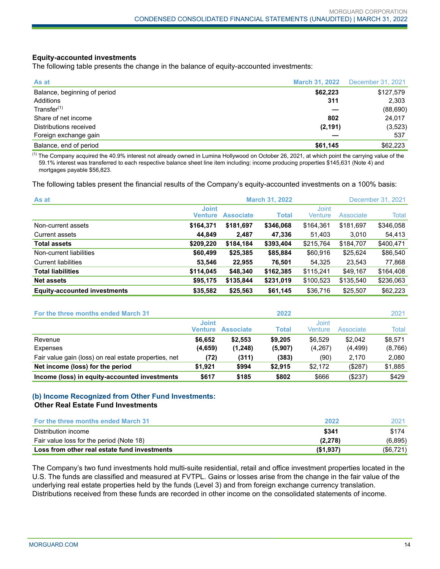#### **Equity-accounted investments**

The following table presents the change in the balance of equity-accounted investments:

| As at                        | <b>March 31, 2022</b> | December 31, 2021 |
|------------------------------|-----------------------|-------------------|
| Balance, beginning of period | \$62,223              | \$127,579         |
| Additions                    | 311                   | 2,303             |
| Transfer <sup>(1)</sup>      |                       | (88, 690)         |
| Share of net income          | 802                   | 24,017            |
| Distributions received       | (2, 191)              | (3, 523)          |
| Foreign exchange gain        |                       | 537               |
| Balance, end of period       | \$61,145              | \$62,223          |

 $<sup>(1)</sup>$  The Company acquired the 40.9% interest not already owned in Lumina Hollywood on October 26, 2021, at which point the carrying value of the</sup> 59.1% interest was transferred to each respective balance sheet line item including: income producing properties \$145,631 (Note 4) and mortgages payable \$56,823.

The following tables present the financial results of the Company's equity-accounted investments on a 100% basis:

| As at                               | <b>March 31, 2022</b><br>December 31, 2021 |                  |              |                  |           |           |  |
|-------------------------------------|--------------------------------------------|------------------|--------------|------------------|-----------|-----------|--|
|                                     | <b>Joint</b><br><b>Venture</b>             | <b>Associate</b> | <b>Total</b> | Joint<br>Venture | Associate | Total     |  |
| Non-current assets                  | \$164,371                                  | \$181.697        | \$346,068    | \$164.361        | \$181,697 | \$346,058 |  |
| Current assets                      | 44,849                                     | 2,487            | 47,336       | 51,403           | 3,010     | 54,413    |  |
| <b>Total assets</b>                 | \$209,220                                  | \$184,184        | \$393,404    | \$215,764        | \$184,707 | \$400,471 |  |
| Non-current liabilities             | \$60,499                                   | \$25,385         | \$85,884     | \$60,916         | \$25,624  | \$86,540  |  |
| <b>Current liabilities</b>          | 53,546                                     | 22,955           | 76,501       | 54,325           | 23,543    | 77,868    |  |
| <b>Total liabilities</b>            | \$114,045                                  | \$48,340         | \$162,385    | \$115,241        | \$49,167  | \$164,408 |  |
| <b>Net assets</b>                   | \$95,175                                   | \$135,844        | \$231,019    | \$100,523        | \$135,540 | \$236,063 |  |
| <b>Equity-accounted investments</b> | \$35,582                                   | \$25,563         | \$61,145     | \$36,716         | \$25,507  | \$62,223  |  |

| For the three months ended March 31                   |                         |                  | 2022         |                  |           | 2021    |
|-------------------------------------------------------|-------------------------|------------------|--------------|------------------|-----------|---------|
|                                                       | <b>Joint</b><br>Venture | <b>Associate</b> | <b>Total</b> | Joint<br>Venture | Associate | Total   |
| Revenue                                               | \$6.652                 | \$2.553          | \$9,205      | \$6.529          | \$2.042   | \$8,571 |
| Expenses                                              | (4,659)                 | (1,248)          | (5,907)      | (4,267)          | (4, 499)  | (8,766) |
| Fair value gain (loss) on real estate properties, net | (72)                    | (311)            | (383)        | (90)             | 2.170     | 2,080   |
| Net income (loss) for the period                      | \$1.921                 | \$994            | \$2.915      | \$2.172          | (\$287)   | \$1,885 |
| Income (loss) in equity-accounted investments         | \$617                   | \$185            | \$802        | \$666            | $(\$237)$ | \$429   |

#### **(b) Income Recognized from Other Fund Investments: Other Real Estate Fund Investments**

| <b>For the three months ended March 31</b>   | 2022     | 2021      |
|----------------------------------------------|----------|-----------|
| Distribution income                          | \$341    | \$174     |
| Fair value loss for the period (Note 18)     | (2.278)  | (6, 895)  |
| Loss from other real estate fund investments | (S1,937) | (\$6,721) |

The Company's two fund investments hold multi-suite residential, retail and office investment properties located in the U.S. The funds are classified and measured at FVTPL. Gains or losses arise from the change in the fair value of the underlying real estate properties held by the funds (Level 3) and from foreign exchange currency translation. Distributions received from these funds are recorded in other income on the consolidated statements of income.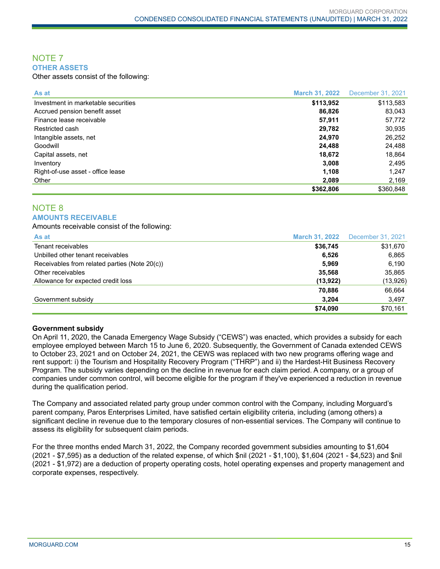#### NOTE 7 **OTHER ASSETS**

Other assets consist of the following:

| As at                               | <b>March 31, 2022</b> | December 31, 2021 |
|-------------------------------------|-----------------------|-------------------|
| Investment in marketable securities | \$113,952             | \$113,583         |
| Accrued pension benefit asset       | 86,826                | 83,043            |
| Finance lease receivable            | 57,911                | 57,772            |
| Restricted cash                     | 29,782                | 30,935            |
| Intangible assets, net              | 24.970                | 26,252            |
| Goodwill                            | 24.488                | 24,488            |
| Capital assets, net                 | 18,672                | 18,864            |
| Inventory                           | 3,008                 | 2,495             |
| Right-of-use asset - office lease   | 1,108                 | 1,247             |
| Other                               | 2,089                 | 2,169             |
|                                     | \$362,806             | \$360.848         |

#### NOTE 8 **AMOUNTS RECEIVABLE**

Amounts receivable consist of the following:

| As at                                         | <b>March 31, 2022</b> | December 31, 2021 |
|-----------------------------------------------|-----------------------|-------------------|
| Tenant receivables                            | \$36,745              | \$31,670          |
| Unbilled other tenant receivables             | 6,526                 | 6,865             |
| Receivables from related parties (Note 20(c)) | 5,969                 | 6,190             |
| Other receivables                             | 35.568                | 35,865            |
| Allowance for expected credit loss            | (13, 922)             | (13, 926)         |
|                                               | 70,886                | 66,664            |
| Government subsidy                            | 3,204                 | 3,497             |
|                                               | \$74,090              | \$70,161          |

#### **Government subsidy**

On April 11, 2020, the Canada Emergency Wage Subsidy ("CEWS") was enacted, which provides a subsidy for each employee employed between March 15 to June 6, 2020. Subsequently, the Government of Canada extended CEWS to October 23, 2021 and on October 24, 2021, the CEWS was replaced with two new programs offering wage and rent support: i) the Tourism and Hospitality Recovery Program ("THRP") and ii) the Hardest-Hit Business Recovery Program. The subsidy varies depending on the decline in revenue for each claim period. A company, or a group of companies under common control, will become eligible for the program if they've experienced a reduction in revenue during the qualification period.

The Company and associated related party group under common control with the Company, including Morguard's parent company, Paros Enterprises Limited, have satisfied certain eligibility criteria, including (among others) a significant decline in revenue due to the temporary closures of non-essential services. The Company will continue to assess its eligibility for subsequent claim periods.

For the three months ended March 31, 2022, the Company recorded government subsidies amounting to \$1,604 (2021 - \$7,595) as a deduction of the related expense, of which \$nil (2021 - \$1,100), \$1,604 (2021 - \$4,523) and \$nil (2021 - \$1,972) are a deduction of property operating costs, hotel operating expenses and property management and corporate expenses, respectively.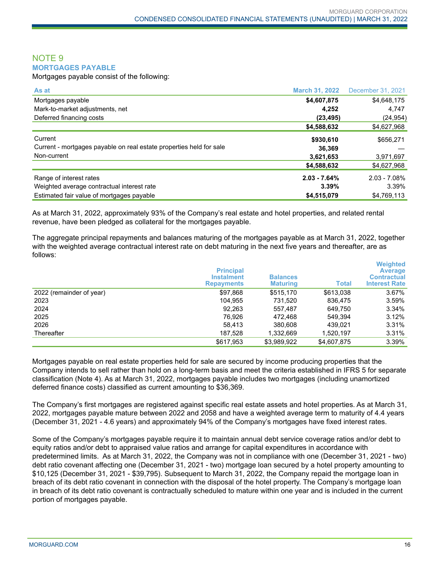#### NOTE 9 **MORTGAGES PAYABLE**

Mortgages payable consist of the following:

| As at                                                               | <b>March 31, 2022</b> | December 31, 2021 |
|---------------------------------------------------------------------|-----------------------|-------------------|
| Mortgages payable                                                   | \$4,607,875           | \$4,648,175       |
| Mark-to-market adjustments, net                                     | 4,252                 | 4,747             |
| Deferred financing costs                                            | (23, 495)             | (24, 954)         |
|                                                                     | \$4,588,632           | \$4,627,968       |
| Current                                                             | \$930,610             | \$656,271         |
| Current - mortgages payable on real estate properties held for sale | 36.369                |                   |
| Non-current                                                         | 3,621,653             | 3,971,697         |
|                                                                     | \$4,588,632           | \$4,627,968       |
| Range of interest rates                                             | $2.03 - 7.64%$        | $2.03 - 7.08\%$   |
| Weighted average contractual interest rate                          | 3.39%                 | 3.39%             |
| Estimated fair value of mortgages payable                           | \$4,515,079           | \$4,769,113       |

As at March 31, 2022, approximately 93% of the Company's real estate and hotel properties, and related rental revenue, have been pledged as collateral for the mortgages payable.

The aggregate principal repayments and balances maturing of the mortgages payable as at March 31, 2022, together with the weighted average contractual interest rate on debt maturing in the next five years and thereafter, are as follows:

|                          | <b>Principal</b><br><b>Instalment</b><br><b>Repayments</b> | <b>Balances</b><br><b>Maturing</b> | <b>Total</b> | <b>Weighted</b><br><b>Average</b><br><b>Contractual</b><br><b>Interest Rate</b> |
|--------------------------|------------------------------------------------------------|------------------------------------|--------------|---------------------------------------------------------------------------------|
| 2022 (remainder of year) | \$97,868                                                   | \$515.170                          | \$613,038    | 3.67%                                                                           |
| 2023                     | 104.955                                                    | 731.520                            | 836.475      | 3.59%                                                                           |
| 2024                     | 92,263                                                     | 557,487                            | 649.750      | 3.34%                                                                           |
| 2025                     | 76.926                                                     | 472.468                            | 549.394      | 3.12%                                                                           |
| 2026                     | 58.413                                                     | 380,608                            | 439.021      | 3.31%                                                                           |
| Thereafter               | 187.528                                                    | 1,332,669                          | 1,520,197    | 3.31%                                                                           |
|                          | \$617,953                                                  | \$3,989,922                        | \$4,607,875  | 3.39%                                                                           |

Mortgages payable on real estate properties held for sale are secured by income producing properties that the Company intends to sell rather than hold on a long-term basis and meet the criteria established in IFRS 5 for separate classification (Note 4). As at March 31, 2022, mortgages payable includes two mortgages (including unamortized deferred finance costs) classified as current amounting to \$36,369.

The Company's first mortgages are registered against specific real estate assets and hotel properties. As at March 31, 2022, mortgages payable mature between 2022 and 2058 and have a weighted average term to maturity of 4.4 years (December 31, 2021 - 4.6 years) and approximately 94% of the Company's mortgages have fixed interest rates.

Some of the Company's mortgages payable require it to maintain annual debt service coverage ratios and/or debt to equity ratios and/or debt to appraised value ratios and arrange for capital expenditures in accordance with predetermined limits. As at March 31, 2022, the Company was not in compliance with one (December 31, 2021 - two) debt ratio covenant affecting one (December 31, 2021 - two) mortgage loan secured by a hotel property amounting to \$10,125 (December 31, 2021 - \$39,795). Subsequent to March 31, 2022, the Company repaid the mortgage loan in breach of its debt ratio covenant in connection with the disposal of the hotel property. The Company's mortgage loan in breach of its debt ratio covenant is contractually scheduled to mature within one year and is included in the current portion of mortgages payable.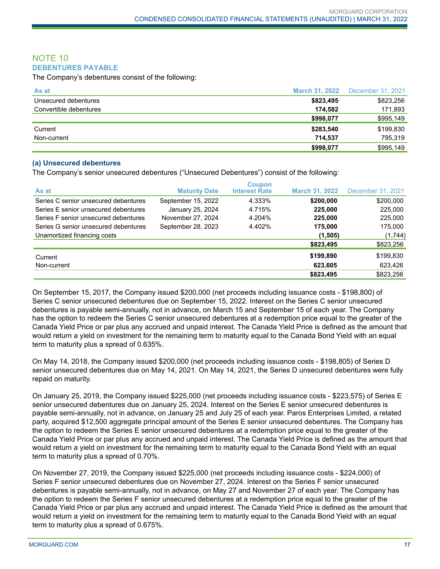#### NOTE 10 **DEBENTURES PAYABLE**

The Company's debentures consist of the following:

| As at                  | <b>March 31, 2022</b> | December 31, 2021 |
|------------------------|-----------------------|-------------------|
| Unsecured debentures   | \$823,495             | \$823,256         |
| Convertible debentures | 174.582               | 171,893           |
|                        | \$998,077             | \$995,149         |
| Current                | \$283,540             | \$199,830         |
| Non-current            | 714.537               | 795.319           |
|                        | \$998,077             | \$995,149         |

#### **(a) Unsecured debentures**

The Company's senior unsecured debentures ("Unsecured Debentures") consist of the following:

| As at                                | <b>Maturity Date</b> | <b>Coupon</b><br><b>Interest Rate</b> | <b>March 31, 2022</b> | December 31, 2021 |
|--------------------------------------|----------------------|---------------------------------------|-----------------------|-------------------|
| Series C senior unsecured debentures | September 15, 2022   | 4.333%                                | \$200,000             | \$200,000         |
| Series E senior unsecured debentures | January 25, 2024     | 4.715%                                | 225,000               | 225,000           |
| Series F senior unsecured debentures | November 27, 2024    | 4.204%                                | 225,000               | 225,000           |
| Series G senior unsecured debentures | September 28, 2023   | 4.402%                                | 175,000               | 175,000           |
| Unamortized financing costs          |                      |                                       | (1, 505)              | (1,744)           |
|                                      |                      |                                       | \$823,495             | \$823,256         |
| Current                              |                      |                                       | \$199,890             | \$199,830         |
| Non-current                          |                      |                                       | 623,605               | 623,426           |
|                                      |                      |                                       | \$823,495             | \$823,256         |

On September 15, 2017, the Company issued \$200,000 (net proceeds including issuance costs - \$198,800) of Series C senior unsecured debentures due on September 15, 2022. Interest on the Series C senior unsecured debentures is payable semi-annually, not in advance, on March 15 and September 15 of each year. The Company has the option to redeem the Series C senior unsecured debentures at a redemption price equal to the greater of the Canada Yield Price or par plus any accrued and unpaid interest. The Canada Yield Price is defined as the amount that would return a yield on investment for the remaining term to maturity equal to the Canada Bond Yield with an equal term to maturity plus a spread of 0.635%.

On May 14, 2018, the Company issued \$200,000 (net proceeds including issuance costs - \$198,805) of Series D senior unsecured debentures due on May 14, 2021. On May 14, 2021, the Series D unsecured debentures were fully repaid on maturity.

On January 25, 2019, the Company issued \$225,000 (net proceeds including issuance costs - \$223,575) of Series E senior unsecured debentures due on January 25, 2024. Interest on the Series E senior unsecured debentures is payable semi-annually, not in advance, on January 25 and July 25 of each year. Paros Enterprises Limited, a related party, acquired \$12,500 aggregate principal amount of the Series E senior unsecured debentures. The Company has the option to redeem the Series E senior unsecured debentures at a redemption price equal to the greater of the Canada Yield Price or par plus any accrued and unpaid interest. The Canada Yield Price is defined as the amount that would return a yield on investment for the remaining term to maturity equal to the Canada Bond Yield with an equal term to maturity plus a spread of 0.70%.

On November 27, 2019, the Company issued \$225,000 (net proceeds including issuance costs - \$224,000) of Series F senior unsecured debentures due on November 27, 2024. Interest on the Series F senior unsecured debentures is payable semi-annually, not in advance, on May 27 and November 27 of each year. The Company has the option to redeem the Series F senior unsecured debentures at a redemption price equal to the greater of the Canada Yield Price or par plus any accrued and unpaid interest. The Canada Yield Price is defined as the amount that would return a yield on investment for the remaining term to maturity equal to the Canada Bond Yield with an equal term to maturity plus a spread of 0.675%.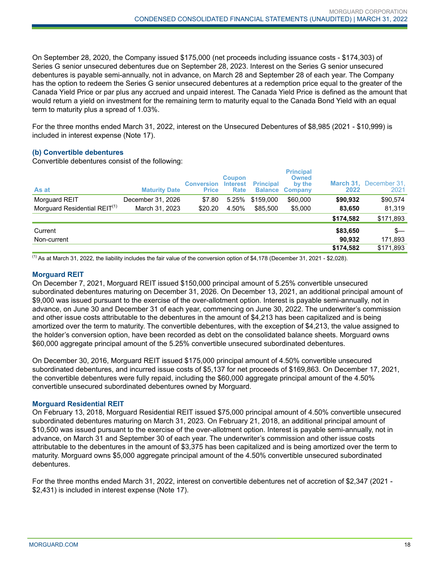On September 28, 2020, the Company issued \$175,000 (net proceeds including issuance costs - \$174,303) of Series G senior unsecured debentures due on September 28, 2023. Interest on the Series G senior unsecured debentures is payable semi-annually, not in advance, on March 28 and September 28 of each year. The Company has the option to redeem the Series G senior unsecured debentures at a redemption price equal to the greater of the Canada Yield Price or par plus any accrued and unpaid interest. The Canada Yield Price is defined as the amount that would return a yield on investment for the remaining term to maturity equal to the Canada Bond Yield with an equal term to maturity plus a spread of 1.03%.

For the three months ended March 31, 2022, interest on the Unsecured Debentures of \$8,985 (2021 - \$10,999) is included in interest expense (Note 17).

#### **(b) Convertible debentures**

Convertible debentures consist of the following:

| As at                                    | <b>Maturity Date</b> | <b>Conversion Interest</b><br><b>Price</b> | <b>Coupon</b><br><b>Rate</b> | <b>Principal</b> | <b>Principal</b><br><b>Owned</b><br>by the<br><b>Balance Company</b> | 2022      | March 31, December 31,<br>2021 |
|------------------------------------------|----------------------|--------------------------------------------|------------------------------|------------------|----------------------------------------------------------------------|-----------|--------------------------------|
| Morguard REIT                            | December 31, 2026    | \$7.80                                     | 5.25%                        | \$159,000        | \$60,000                                                             | \$90,932  | \$90,574                       |
| Morguard Residential REIT <sup>(1)</sup> | March 31, 2023       | \$20.20                                    | 4.50%                        | \$85,500         | \$5,000                                                              | 83,650    | 81,319                         |
|                                          |                      |                                            |                              |                  |                                                                      | \$174,582 | \$171,893                      |
| Current                                  |                      |                                            |                              |                  |                                                                      | \$83,650  | \$—                            |
| Non-current                              |                      |                                            |                              |                  |                                                                      | 90.932    | 171,893                        |
|                                          |                      |                                            |                              |                  |                                                                      | \$174,582 | \$171,893                      |

 $<sup>(1)</sup>$  As at March 31, 2022, the liability includes the fair value of the conversion option of \$4,178 (December 31, 2021 - \$2,028).</sup>

#### **Morguard REIT**

On December 7, 2021, Morguard REIT issued \$150,000 principal amount of 5.25% convertible unsecured subordinated debentures maturing on December 31, 2026. On December 13, 2021, an additional principal amount of \$9,000 was issued pursuant to the exercise of the over-allotment option. Interest is payable semi-annually, not in advance, on June 30 and December 31 of each year, commencing on June 30, 2022. The underwriter's commission and other issue costs attributable to the debentures in the amount of \$4,213 has been capitalized and is being amortized over the term to maturity. The convertible debentures, with the exception of \$4,213, the value assigned to the holder's conversion option, have been recorded as debt on the consolidated balance sheets. Morguard owns \$60,000 aggregate principal amount of the 5.25% convertible unsecured subordinated debentures.

On December 30, 2016, Morguard REIT issued \$175,000 principal amount of 4.50% convertible unsecured subordinated debentures, and incurred issue costs of \$5,137 for net proceeds of \$169,863. On December 17, 2021, the convertible debentures were fully repaid, including the \$60,000 aggregate principal amount of the 4.50% convertible unsecured subordinated debentures owned by Morguard.

#### **Morguard Residential REIT**

On February 13, 2018, Morguard Residential REIT issued \$75,000 principal amount of 4.50% convertible unsecured subordinated debentures maturing on March 31, 2023. On February 21, 2018, an additional principal amount of \$10,500 was issued pursuant to the exercise of the over-allotment option. Interest is payable semi-annually, not in advance, on March 31 and September 30 of each year. The underwriter's commission and other issue costs attributable to the debentures in the amount of \$3,375 has been capitalized and is being amortized over the term to maturity. Morguard owns \$5,000 aggregate principal amount of the 4.50% convertible unsecured subordinated debentures.

For the three months ended March 31, 2022, interest on convertible debentures net of accretion of \$2,347 (2021 - \$2,431) is included in interest expense (Note 17).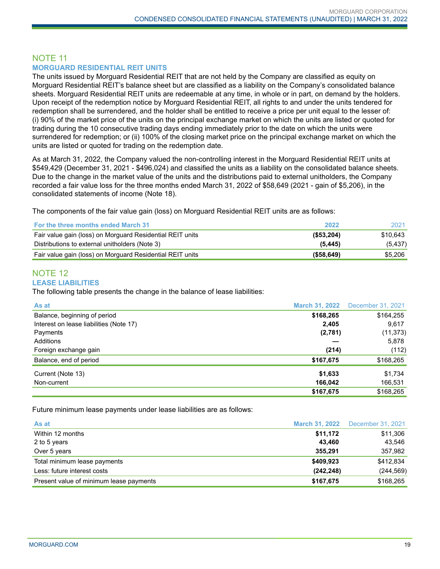#### NOTE 11 **MORGUARD RESIDENTIAL REIT UNITS**

The units issued by Morguard Residential REIT that are not held by the Company are classified as equity on Morguard Residential REIT's balance sheet but are classified as a liability on the Company's consolidated balance sheets. Morguard Residential REIT units are redeemable at any time, in whole or in part, on demand by the holders. Upon receipt of the redemption notice by Morguard Residential REIT, all rights to and under the units tendered for redemption shall be surrendered, and the holder shall be entitled to receive a price per unit equal to the lesser of: (i) 90% of the market price of the units on the principal exchange market on which the units are listed or quoted for trading during the 10 consecutive trading days ending immediately prior to the date on which the units were surrendered for redemption; or (ii) 100% of the closing market price on the principal exchange market on which the units are listed or quoted for trading on the redemption date.

As at March 31, 2022, the Company valued the non-controlling interest in the Morguard Residential REIT units at \$549,429 (December 31, 2021 - \$496,024) and classified the units as a liability on the consolidated balance sheets. Due to the change in the market value of the units and the distributions paid to external unitholders, the Company recorded a fair value loss for the three months ended March 31, 2022 of \$58,649 (2021 - gain of \$5,206), in the consolidated statements of income (Note 18).

The components of the fair value gain (loss) on Morguard Residential REIT units are as follows:

| For the three months ended March 31                       | 2022          | 2021     |
|-----------------------------------------------------------|---------------|----------|
| Fair value gain (loss) on Morguard Residential REIT units | $($ \$53,204) | \$10.643 |
| Distributions to external unitholders (Note 3)            | (5.445)       | (5, 437) |
| Fair value gain (loss) on Morguard Residential REIT units | ( \$58,649)   | \$5,206  |

# NOTE 12

#### **LEASE LIABILITIES**

The following table presents the change in the balance of lease liabilities:

| As at                                   | <b>March 31, 2022</b> | December 31, 2021 |
|-----------------------------------------|-----------------------|-------------------|
| Balance, beginning of period            | \$168,265             | \$164,255         |
| Interest on lease liabilities (Note 17) | 2,405                 | 9,617             |
| Payments                                | (2,781)               | (11, 373)         |
| Additions                               |                       | 5,878             |
| Foreign exchange gain                   | (214)                 | (112)             |
| Balance, end of period                  | \$167,675             | \$168,265         |
| Current (Note 13)                       | \$1,633               | \$1,734           |
| Non-current                             | 166,042               | 166,531           |
|                                         | \$167,675             | \$168.265         |

Future minimum lease payments under lease liabilities are as follows:

| As at                                   |            | <b>March 31, 2022</b> December 31, 2021 |
|-----------------------------------------|------------|-----------------------------------------|
| Within 12 months                        | \$11,172   | \$11,306                                |
| 2 to 5 years                            | 43.460     | 43,546                                  |
| Over 5 years                            | 355.291    | 357,982                                 |
| Total minimum lease payments            | \$409,923  | \$412,834                               |
| Less: future interest costs             | (242, 248) | (244, 569)                              |
| Present value of minimum lease payments | \$167,675  | \$168,265                               |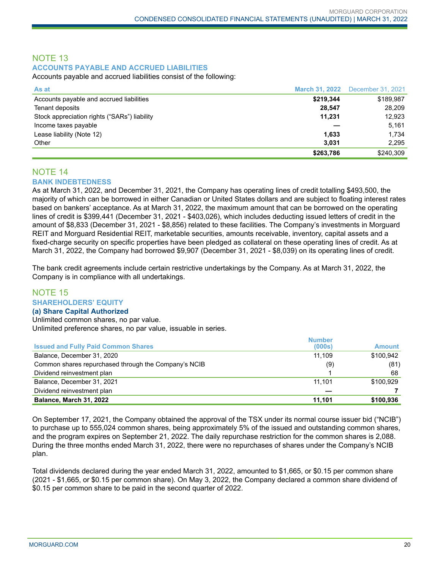### NOTE 13 **ACCOUNTS PAYABLE AND ACCRUED LIABILITIES**

Accounts payable and accrued liabilities consist of the following:

| As at                                        | <b>March 31, 2022</b> | December 31, 2021 |
|----------------------------------------------|-----------------------|-------------------|
| Accounts payable and accrued liabilities     | \$219,344             | \$189,987         |
| Tenant deposits                              | 28.547                | 28,209            |
| Stock appreciation rights ("SARs") liability | 11.231                | 12.923            |
| Income taxes payable                         |                       | 5,161             |
| Lease liability (Note 12)                    | 1,633                 | 1,734             |
| Other                                        | 3,031                 | 2.295             |
|                                              | \$263,786             | \$240,309         |

#### NOTE 14 **BANK INDEBTEDNESS**

As at March 31, 2022, and December 31, 2021, the Company has operating lines of credit totalling \$493,500, the majority of which can be borrowed in either Canadian or United States dollars and are subject to floating interest rates based on bankers' acceptance. As at March 31, 2022, the maximum amount that can be borrowed on the operating lines of credit is \$399,441 (December 31, 2021 - \$403,026), which includes deducting issued letters of credit in the amount of \$8,833 (December 31, 2021 - \$8,856) related to these facilities. The Company's investments in Morguard REIT and Morguard Residential REIT, marketable securities, amounts receivable, inventory, capital assets and a fixed-charge security on specific properties have been pledged as collateral on these operating lines of credit. As at March 31, 2022, the Company had borrowed \$9,907 (December 31, 2021 - \$8,039) on its operating lines of credit.

The bank credit agreements include certain restrictive undertakings by the Company. As at March 31, 2022, the Company is in compliance with all undertakings.

#### NOTE 15 **SHAREHOLDERS' EQUITY**

#### **(a) Share Capital Authorized**

Unlimited common shares, no par value. Unlimited preference shares, no par value, issuable in series.

|                                                      | <b>Number</b> |               |
|------------------------------------------------------|---------------|---------------|
| <b>Issued and Fully Paid Common Shares</b>           | (000s)        | <b>Amount</b> |
| Balance, December 31, 2020                           | 11.109        | \$100.942     |
| Common shares repurchased through the Company's NCIB | (9)           | (81)          |
| Dividend reinvestment plan                           |               | 68            |
| Balance, December 31, 2021                           | 11.101        | \$100.929     |
| Dividend reinvestment plan                           |               |               |
| <b>Balance, March 31, 2022</b>                       | 11.101        | \$100,936     |

On September 17, 2021, the Company obtained the approval of the TSX under its normal course issuer bid ("NCIB") to purchase up to 555,024 common shares, being approximately 5% of the issued and outstanding common shares, and the program expires on September 21, 2022. The daily repurchase restriction for the common shares is 2,088. During the three months ended March 31, 2022, there were no repurchases of shares under the Company's NCIB plan.

Total dividends declared during the year ended March 31, 2022, amounted to \$1,665, or \$0.15 per common share (2021 - \$1,665, or \$0.15 per common share). On May 3, 2022, the Company declared a common share dividend of \$0.15 per common share to be paid in the second quarter of 2022.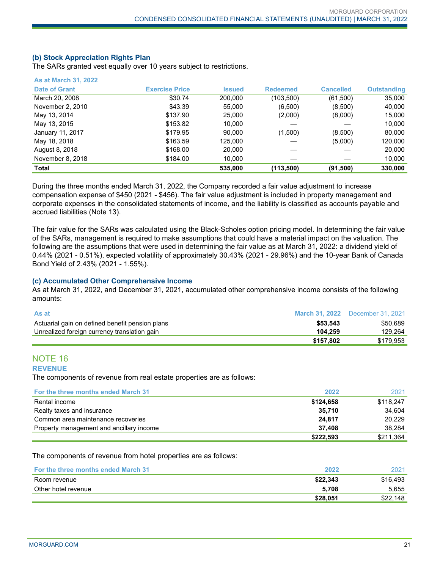#### **(b) Stock Appreciation Rights Plan**

**As at March 31, 2022**

The SARs granted vest equally over 10 years subject to restrictions.

| Total                |                       | 535,000       | (113,500)       | (91, 500)        | 330,000            |
|----------------------|-----------------------|---------------|-----------------|------------------|--------------------|
| November 8, 2018     | \$184.00              | 10,000        |                 |                  | 10,000             |
| August 8, 2018       | \$168.00              | 20,000        |                 |                  | 20,000             |
| May 18, 2018         | \$163.59              | 125,000       |                 | (5,000)          | 120,000            |
| January 11, 2017     | \$179.95              | 90.000        | (1,500)         | (8,500)          | 80,000             |
| May 13, 2015         | \$153.82              | 10,000        |                 |                  | 10,000             |
| May 13, 2014         | \$137.90              | 25,000        | (2,000)         | (8,000)          | 15,000             |
| November 2, 2010     | \$43.39               | 55,000        | (6,500)         | (8,500)          | 40,000             |
| March 20, 2008       | \$30.74               | 200,000       | (103,500)       | (61,500)         | 35,000             |
| <b>Date of Grant</b> | <b>Exercise Price</b> | <b>Issued</b> | <b>Redeemed</b> | <b>Cancelled</b> | <b>Outstanding</b> |
| As at March 31, 2022 |                       |               |                 |                  |                    |

During the three months ended March 31, 2022, the Company recorded a fair value adjustment to increase compensation expense of \$450 (2021 - \$456). The fair value adjustment is included in property management and corporate expenses in the consolidated statements of income, and the liability is classified as accounts payable and accrued liabilities (Note 13).

The fair value for the SARs was calculated using the Black-Scholes option pricing model. In determining the fair value of the SARs, management is required to make assumptions that could have a material impact on the valuation. The following are the assumptions that were used in determining the fair value as at March 31, 2022: a dividend yield of 0.44% (2021 - 0.51%), expected volatility of approximately 30.43% (2021 - 29.96%) and the 10-year Bank of Canada Bond Yield of 2.43% (2021 - 1.55%).

#### **(c) Accumulated Other Comprehensive Income**

As at March 31, 2022, and December 31, 2021, accumulated other comprehensive income consists of the following amounts:

| <b>As at</b>                                    | <b>March 31, 2022</b> | December 31, 2021 |
|-------------------------------------------------|-----------------------|-------------------|
| Actuarial gain on defined benefit pension plans | \$53.543              | \$50.689          |
| Unrealized foreign currency translation gain    | 104.259               | 129.264           |
|                                                 | \$157.802             | \$179,953         |

#### NOTE 16

#### **REVENUE**

The components of revenue from real estate properties are as follows:

| <b>For the three months ended March 31</b> | 2022      | 2021      |
|--------------------------------------------|-----------|-----------|
| Rental income                              | \$124,658 | \$118.247 |
| Realty taxes and insurance                 | 35.710    | 34.604    |
| Common area maintenance recoveries         | 24.817    | 20.229    |
| Property management and ancillary income   | 37.408    | 38.284    |
|                                            | \$222,593 | \$211,364 |

#### The components of revenue from hotel properties are as follows:

| <b>For the three months ended March 31</b> | 2022     | 2021     |
|--------------------------------------------|----------|----------|
| Room revenue                               | \$22.343 | \$16,493 |
| Other hotel revenue                        | 5.708    | 5,655    |
|                                            | \$28.051 | \$22,148 |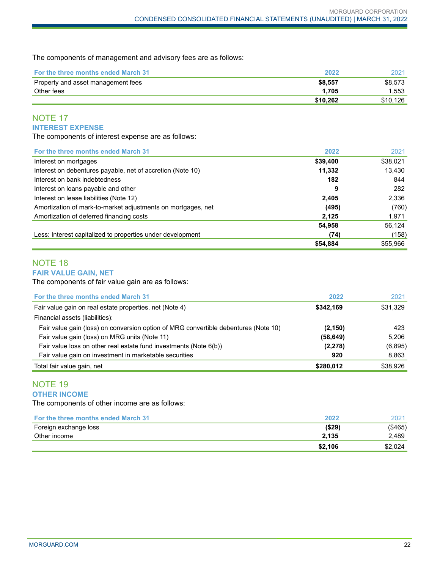The components of management and advisory fees are as follows:

| <b>For the three months ended March 31</b> | 2022     | 2021     |
|--------------------------------------------|----------|----------|
| Property and asset management fees         | \$8.557  | \$8.573  |
| Other fees                                 | 1.705    | 1.553    |
|                                            | \$10.262 | \$10.126 |

# NOTE 17 **INTEREST EXPENSE**

The components of interest expense are as follows:

| For the three months ended March 31                          | 2022     | 2021     |
|--------------------------------------------------------------|----------|----------|
| Interest on mortgages                                        | \$39,400 | \$38,021 |
| Interest on debentures payable, net of accretion (Note 10)   | 11,332   | 13,430   |
| Interest on bank indebtedness                                | 182      | 844      |
| Interest on loans payable and other                          | 9        | 282      |
| Interest on lease liabilities (Note 12)                      | 2,405    | 2,336    |
| Amortization of mark-to-market adjustments on mortgages, net | (495)    | (760)    |
| Amortization of deferred financing costs                     | 2,125    | 1,971    |
|                                                              | 54,958   | 56,124   |
| Less: Interest capitalized to properties under development   | (74)     | (158)    |
|                                                              | \$54,884 | \$55,966 |

# NOTE 18

#### **FAIR VALUE GAIN, NET**

The components of fair value gain are as follows:

| For the three months ended March 31                                                 | 2022      | 2021     |
|-------------------------------------------------------------------------------------|-----------|----------|
| Fair value gain on real estate properties, net (Note 4)                             | \$342.169 | \$31,329 |
| Financial assets (liabilities):                                                     |           |          |
| Fair value gain (loss) on conversion option of MRG convertible debentures (Note 10) | (2, 150)  | 423      |
| Fair value gain (loss) on MRG units (Note 11)                                       | (58, 649) | 5.206    |
| Fair value loss on other real estate fund investments (Note 6(b))                   | (2, 278)  | (6,895)  |
| Fair value gain on investment in marketable securities                              | 920       | 8,863    |
| Total fair value gain, net                                                          | \$280,012 | \$38,926 |

# NOTE 19

**OTHER INCOME** 

The components of other income are as follows:

| <b>For the three months ended March 31</b> | 2022    | 2021       |
|--------------------------------------------|---------|------------|
| Foreign exchange loss                      | (\$29)  | $($ \$465) |
| Other income                               | 2.135   | 2.489      |
|                                            | \$2.106 | \$2.024    |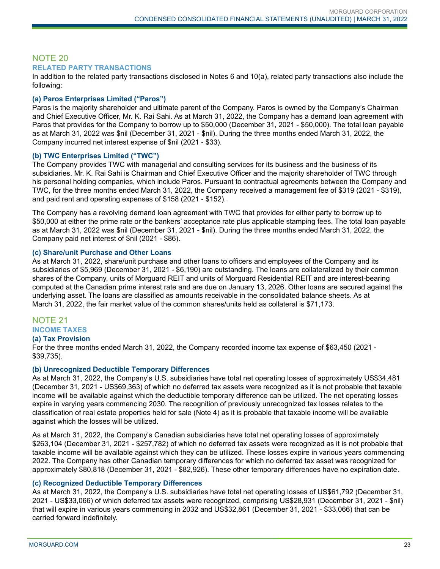#### NOTE 20 **RELATED PARTY TRANSACTIONS**

In addition to the related party transactions disclosed in Notes 6 and 10(a), related party transactions also include the following:

#### **(a) Paros Enterprises Limited ("Paros")**

Paros is the majority shareholder and ultimate parent of the Company. Paros is owned by the Company's Chairman and Chief Executive Officer, Mr. K. Rai Sahi. As at March 31, 2022, the Company has a demand loan agreement with Paros that provides for the Company to borrow up to \$50,000 (December 31, 2021 - \$50,000). The total loan payable as at March 31, 2022 was \$nil (December 31, 2021 - \$nil). During the three months ended March 31, 2022, the Company incurred net interest expense of \$nil (2021 - \$33).

#### **(b) TWC Enterprises Limited ("TWC")**

The Company provides TWC with managerial and consulting services for its business and the business of its subsidiaries. Mr. K. Rai Sahi is Chairman and Chief Executive Officer and the majority shareholder of TWC through his personal holding companies, which include Paros. Pursuant to contractual agreements between the Company and TWC, for the three months ended March 31, 2022, the Company received a management fee of \$319 (2021 - \$319), and paid rent and operating expenses of \$158 (2021 - \$152).

The Company has a revolving demand loan agreement with TWC that provides for either party to borrow up to \$50,000 at either the prime rate or the bankers' acceptance rate plus applicable stamping fees. The total loan payable as at March 31, 2022 was \$nil (December 31, 2021 - \$nil). During the three months ended March 31, 2022, the Company paid net interest of \$nil (2021 - \$86).

#### **(c) Share/unit Purchase and Other Loans**

As at March 31, 2022, share/unit purchase and other loans to officers and employees of the Company and its subsidiaries of \$5,969 (December 31, 2021 - \$6,190) are outstanding. The loans are collateralized by their common shares of the Company, units of Morguard REIT and units of Morguard Residential REIT and are interest-bearing computed at the Canadian prime interest rate and are due on January 13, 2026. Other loans are secured against the underlying asset. The loans are classified as amounts receivable in the consolidated balance sheets. As at March 31, 2022, the fair market value of the common shares/units held as collateral is \$71,173.

# NOTE 21 **INCOME TAXES**

#### **(a) Tax Provision**

For the three months ended March 31, 2022, the Company recorded income tax expense of \$63,450 (2021 - \$39,735).

#### **(b) Unrecognized Deductible Temporary Differences**

As at March 31, 2022, the Company's U.S. subsidiaries have total net operating losses of approximately US\$34,481 (December 31, 2021 - US\$69,363) of which no deferred tax assets were recognized as it is not probable that taxable income will be available against which the deductible temporary difference can be utilized. The net operating losses expire in varying years commencing 2030. The recognition of previously unrecognized tax losses relates to the classification of real estate properties held for sale (Note 4) as it is probable that taxable income will be available against which the losses will be utilized.

As at March 31, 2022, the Company's Canadian subsidiaries have total net operating losses of approximately \$263,104 (December 31, 2021 - \$257,782) of which no deferred tax assets were recognized as it is not probable that taxable income will be available against which they can be utilized. These losses expire in various years commencing 2022. The Company has other Canadian temporary differences for which no deferred tax asset was recognized for approximately \$80,818 (December 31, 2021 - \$82,926). These other temporary differences have no expiration date.

#### **(c) Recognized Deductible Temporary Differences**

As at March 31, 2022, the Company's U.S. subsidiaries have total net operating losses of US\$61,792 (December 31, 2021 - US\$33,066) of which deferred tax assets were recognized, comprising US\$28,931 (December 31, 2021 - \$nil) that will expire in various years commencing in 2032 and US\$32,861 (December 31, 2021 - \$33,066) that can be carried forward indefinitely.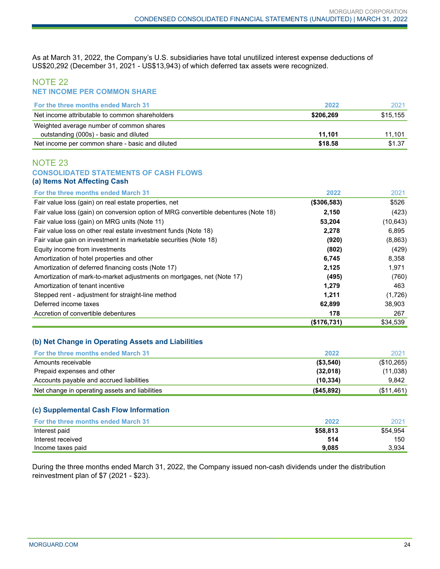As at March 31, 2022, the Company's U.S. subsidiaries have total unutilized interest expense deductions of US\$20,292 (December 31, 2021 - US\$13,943) of which deferred tax assets were recognized.

#### NOTE 22 **NET INCOME PER COMMON SHARE**

| <b>For the three months ended March 31</b>      | 2022      | 2021     |
|-------------------------------------------------|-----------|----------|
| Net income attributable to common shareholders  | \$206.269 | \$15,155 |
| Weighted average number of common shares        |           |          |
| outstanding (000s) - basic and diluted          | 11.101    | 11.101   |
| Net income per common share - basic and diluted | \$18.58   | \$1.37   |

#### NOTE 23 **CONSOLIDATED STATEMENTS OF CASH FLOWS (a) Items Not Affecting Cash**

| For the three months ended March 31                                                 | 2022        | 2021      |
|-------------------------------------------------------------------------------------|-------------|-----------|
| Fair value loss (gain) on real estate properties, net                               | (\$306,583) | \$526     |
| Fair value loss (gain) on conversion option of MRG convertible debentures (Note 18) | 2,150       | (423)     |
| Fair value loss (gain) on MRG units (Note 11)                                       | 53,204      | (10, 643) |
| Fair value loss on other real estate investment funds (Note 18)                     | 2,278       | 6,895     |
| Fair value gain on investment in marketable securities (Note 18)                    | (920)       | (8,863)   |
| Equity income from investments                                                      | (802)       | (429)     |
| Amortization of hotel properties and other                                          | 6,745       | 8,358     |
| Amortization of deferred financing costs (Note 17)                                  | 2,125       | 1,971     |
| Amortization of mark-to-market adjustments on mortgages, net (Note 17)              | (495)       | (760)     |
| Amortization of tenant incentive                                                    | 1,279       | 463       |
| Stepped rent - adjustment for straight-line method                                  | 1,211       | (1,726)   |
| Deferred income taxes                                                               | 62,899      | 38,903    |
| Accretion of convertible debentures                                                 | 178         | 267       |
|                                                                                     | (\$176,731) | \$34,539  |

#### **(b) Net Change in Operating Assets and Liabilities**

| <b>For the three months ended March 31</b>     | 2022         | 2021       |
|------------------------------------------------|--------------|------------|
| Amounts receivable                             | ( \$3,540)   | (\$10,265) |
| Prepaid expenses and other                     | (32,018)     | (11,038)   |
| Accounts payable and accrued liabilities       | (10.334)     | 9.842      |
| Net change in operating assets and liabilities | ( \$45, 892) | (\$11,461) |

#### **(c) Supplemental Cash Flow Information**

| <b>For the three months ended March 31</b> | 2022     | 2021     |
|--------------------------------------------|----------|----------|
| Interest paid                              | \$58,813 | \$54.954 |
| Interest received                          | 514      | 150      |
| Income taxes paid                          | 9.085    | 3.934    |

During the three months ended March 31, 2022, the Company issued non-cash dividends under the distribution reinvestment plan of \$7 (2021 - \$23).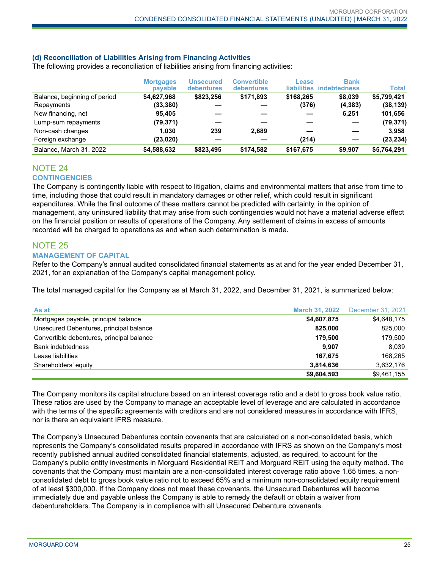#### **(d) Reconciliation of Liabilities Arising from Financing Activities**

The following provides a reconciliation of liabilities arising from financing activities:

|                              | <b>Mortgages</b><br>payable | Unsecured<br><b>debentures</b> | <b>Convertible</b><br>debentures | Lease<br>liabilities | <b>Bank</b><br><i>indebtedness</i> | <b>Total</b> |
|------------------------------|-----------------------------|--------------------------------|----------------------------------|----------------------|------------------------------------|--------------|
| Balance, beginning of period | \$4,627,968                 | \$823,256                      | \$171.893                        | \$168,265            | \$8,039                            | \$5,799,421  |
| Repayments                   | (33, 380)                   |                                |                                  | (376)                | (4, 383)                           | (38, 139)    |
| New financing, net           | 95.405                      |                                |                                  |                      | 6,251                              | 101,656      |
| Lump-sum repayments          | (79, 371)                   |                                |                                  |                      |                                    | (79, 371)    |
| Non-cash changes             | 1.030                       | 239                            | 2,689                            |                      |                                    | 3.958        |
| Foreign exchange             | (23,020)                    |                                |                                  | (214)                |                                    | (23, 234)    |
| Balance, March 31, 2022      | \$4,588,632                 | \$823,495                      | \$174.582                        | \$167.675            | \$9.907                            | \$5,764,291  |

#### NOTE 24 **CONTINGENCIES**

The Company is contingently liable with respect to litigation, claims and environmental matters that arise from time to time, including those that could result in mandatory damages or other relief, which could result in significant expenditures. While the final outcome of these matters cannot be predicted with certainty, in the opinion of management, any uninsured liability that may arise from such contingencies would not have a material adverse effect on the financial position or results of operations of the Company. Any settlement of claims in excess of amounts recorded will be charged to operations as and when such determination is made.

## NOTE 25

#### **MANAGEMENT OF CAPITAL**

Refer to the Company's annual audited consolidated financial statements as at and for the year ended December 31, 2021, for an explanation of the Company's capital management policy.

The total managed capital for the Company as at March 31, 2022, and December 31, 2021, is summarized below:

| As at                                     | <b>March 31, 2022</b> | December 31, 2021 |
|-------------------------------------------|-----------------------|-------------------|
| Mortgages payable, principal balance      | \$4,607,875           | \$4,648,175       |
| Unsecured Debentures, principal balance   | 825.000               | 825.000           |
| Convertible debentures, principal balance | 179.500               | 179,500           |
| <b>Bank indebtedness</b>                  | 9.907                 | 8.039             |
| Lease liabilities                         | 167.675               | 168.265           |
| Shareholders' equity                      | 3,814,636             | 3,632,176         |
|                                           | \$9,604,593           | \$9,461,155       |

The Company monitors its capital structure based on an interest coverage ratio and a debt to gross book value ratio. These ratios are used by the Company to manage an acceptable level of leverage and are calculated in accordance with the terms of the specific agreements with creditors and are not considered measures in accordance with IFRS, nor is there an equivalent IFRS measure.

The Company's Unsecured Debentures contain covenants that are calculated on a non-consolidated basis, which represents the Company's consolidated results prepared in accordance with IFRS as shown on the Company's most recently published annual audited consolidated financial statements, adjusted, as required, to account for the Company's public entity investments in Morguard Residential REIT and Morguard REIT using the equity method. The covenants that the Company must maintain are a non-consolidated interest coverage ratio above 1.65 times, a nonconsolidated debt to gross book value ratio not to exceed 65% and a minimum non-consolidated equity requirement of at least \$300,000. If the Company does not meet these covenants, the Unsecured Debentures will become immediately due and payable unless the Company is able to remedy the default or obtain a waiver from debentureholders. The Company is in compliance with all Unsecured Debenture covenants.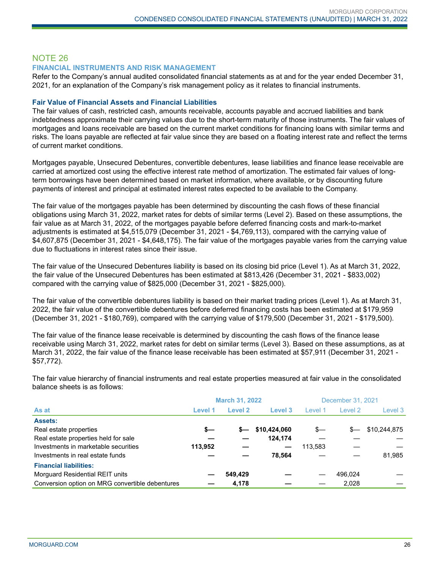# NOTE 26

#### **FINANCIAL INSTRUMENTS AND RISK MANAGEMENT**

Refer to the Company's annual audited consolidated financial statements as at and for the year ended December 31, 2021, for an explanation of the Company's risk management policy as it relates to financial instruments.

#### **Fair Value of Financial Assets and Financial Liabilities**

The fair values of cash, restricted cash, amounts receivable, accounts payable and accrued liabilities and bank indebtedness approximate their carrying values due to the short-term maturity of those instruments. The fair values of mortgages and loans receivable are based on the current market conditions for financing loans with similar terms and risks. The loans payable are reflected at fair value since they are based on a floating interest rate and reflect the terms of current market conditions.

Mortgages payable, Unsecured Debentures, convertible debentures, lease liabilities and finance lease receivable are carried at amortized cost using the effective interest rate method of amortization. The estimated fair values of longterm borrowings have been determined based on market information, where available, or by discounting future payments of interest and principal at estimated interest rates expected to be available to the Company.

The fair value of the mortgages payable has been determined by discounting the cash flows of these financial obligations using March 31, 2022, market rates for debts of similar terms (Level 2). Based on these assumptions, the fair value as at March 31, 2022, of the mortgages payable before deferred financing costs and mark-to-market adjustments is estimated at \$4,515,079 (December 31, 2021 - \$4,769,113), compared with the carrying value of \$4,607,875 (December 31, 2021 - \$4,648,175). The fair value of the mortgages payable varies from the carrying value due to fluctuations in interest rates since their issue.

The fair value of the Unsecured Debentures liability is based on its closing bid price (Level 1). As at March 31, 2022, the fair value of the Unsecured Debentures has been estimated at \$813,426 (December 31, 2021 - \$833,002) compared with the carrying value of \$825,000 (December 31, 2021 - \$825,000).

The fair value of the convertible debentures liability is based on their market trading prices (Level 1). As at March 31, 2022, the fair value of the convertible debentures before deferred financing costs has been estimated at \$179,959 (December 31, 2021 - \$180,769), compared with the carrying value of \$179,500 (December 31, 2021 - \$179,500).

The fair value of the finance lease receivable is determined by discounting the cash flows of the finance lease receivable using March 31, 2022, market rates for debt on similar terms (Level 3). Based on these assumptions, as at March 31, 2022, the fair value of the finance lease receivable has been estimated at \$57,911 (December 31, 2021 - \$57,772).

The fair value hierarchy of financial instruments and real estate properties measured at fair value in the consolidated balance sheets is as follows:

|                                                 |         | <b>March 31, 2022</b> |              |         | December 31, 2021 |              |  |
|-------------------------------------------------|---------|-----------------------|--------------|---------|-------------------|--------------|--|
| As at                                           | Level 1 | Level 2               | Level 3      | Level 1 | Level 2           | Level 3      |  |
| <b>Assets:</b>                                  |         |                       |              |         |                   |              |  |
| Real estate properties                          | s—      | $s-$                  | \$10,424,060 | $s-$    |                   | \$10,244,875 |  |
| Real estate properties held for sale            |         |                       | 124.174      |         |                   |              |  |
| Investments in marketable securities            | 113,952 |                       |              | 113,583 |                   |              |  |
| Investments in real estate funds                |         |                       | 78.564       |         |                   | 81.985       |  |
| <b>Financial liabilities:</b>                   |         |                       |              |         |                   |              |  |
| Morguard Residential REIT units                 |         | 549.429               |              |         | 496.024           |              |  |
| Conversion option on MRG convertible debentures |         | 4.178                 |              |         | 2.028             |              |  |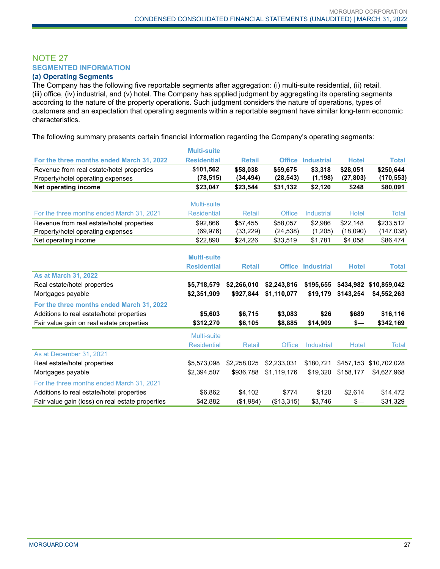# NOTE 27 **SEGMENTED INFORMATION**

#### **(a) Operating Segments**

The Company has the following five reportable segments after aggregation: (i) multi-suite residential, (ii) retail, (iii) office, (iv) industrial, and (v) hotel. The Company has applied judgment by aggregating its operating segments according to the nature of the property operations. Such judgment considers the nature of operations, types of customers and an expectation that operating segments within a reportable segment have similar long-term economic characteristics.

The following summary presents certain financial information regarding the Company's operating segments:

|                                                  | <b>Multi-suite</b> |               |               |                          |              |              |
|--------------------------------------------------|--------------------|---------------|---------------|--------------------------|--------------|--------------|
| For the three months ended March 31, 2022        | <b>Residential</b> | <b>Retail</b> |               | <b>Office Industrial</b> | <b>Hotel</b> | <b>Total</b> |
| Revenue from real estate/hotel properties        | \$101,562          | \$58,038      | \$59,675      | \$3,318                  | \$28,051     | \$250,644    |
| Property/hotel operating expenses                | (78,515)           | (34, 494)     | (28, 543)     | (1, 198)                 | (27, 803)    | (170, 553)   |
| <b>Net operating income</b>                      | \$23,047           | \$23,544      | \$31,132      | \$2,120                  | \$248        | \$80,091     |
|                                                  |                    |               |               |                          |              |              |
|                                                  | Multi-suite        |               |               |                          |              |              |
| For the three months ended March 31, 2021        | <b>Residential</b> | <b>Retail</b> | Office        | <b>Industrial</b>        | Hotel        | <b>Total</b> |
| Revenue from real estate/hotel properties        | \$92,866           | \$57,455      | \$58,057      | \$2,986                  | \$22,148     | \$233,512    |
| Property/hotel operating expenses                | (69, 976)          | (33, 229)     | (24, 538)     | (1,205)                  | (18,090)     | (147, 038)   |
| Net operating income                             | \$22,890           | \$24,226      | \$33,519      | \$1,781                  | \$4,058      | \$86,474     |
|                                                  |                    |               |               |                          |              |              |
|                                                  | <b>Multi-suite</b> |               |               |                          |              |              |
|                                                  | <b>Residential</b> | <b>Retail</b> |               | <b>Office Industrial</b> | <b>Hotel</b> | <b>Total</b> |
| <b>As at March 31, 2022</b>                      |                    |               |               |                          |              |              |
| Real estate/hotel properties                     | \$5,718,579        | \$2,266,010   | \$2,243,816   | \$195.655                | \$434.982    | \$10,859,042 |
| Mortgages payable                                | \$2,351,909        | \$927,844     | \$1,110,077   | \$19,179                 | \$143,254    | \$4,552,263  |
| For the three months ended March 31, 2022        |                    |               |               |                          |              |              |
| Additions to real estate/hotel properties        | \$5,603            | \$6,715       | \$3,083       | \$26                     | \$689        | \$16,116     |
| Fair value gain on real estate properties        | \$312,270          | \$6,105       | \$8,885       | \$14,909                 | \$—          | \$342,169    |
|                                                  | Multi-suite        |               |               |                          |              |              |
|                                                  | <b>Residential</b> | <b>Retail</b> | <b>Office</b> | <b>Industrial</b>        | Hotel        | Total        |
| As at December 31, 2021                          |                    |               |               |                          |              |              |
| Real estate/hotel properties                     | \$5,573,098        | \$2,258,025   | \$2,233,031   | \$180,721                | \$457,153    | \$10,702,028 |
| Mortgages payable                                | \$2,394,507        | \$936,788     | \$1,119,176   | \$19,320                 | \$158,177    | \$4,627,968  |
| For the three months ended March 31, 2021        |                    |               |               |                          |              |              |
| Additions to real estate/hotel properties        | \$6,862            | \$4,102       | \$774         | \$120                    | \$2,614      | \$14,472     |
| Fair value gain (loss) on real estate properties | \$42,882           | (\$1,984)     | (\$13,315)    | \$3,746                  | \$—          | \$31,329     |